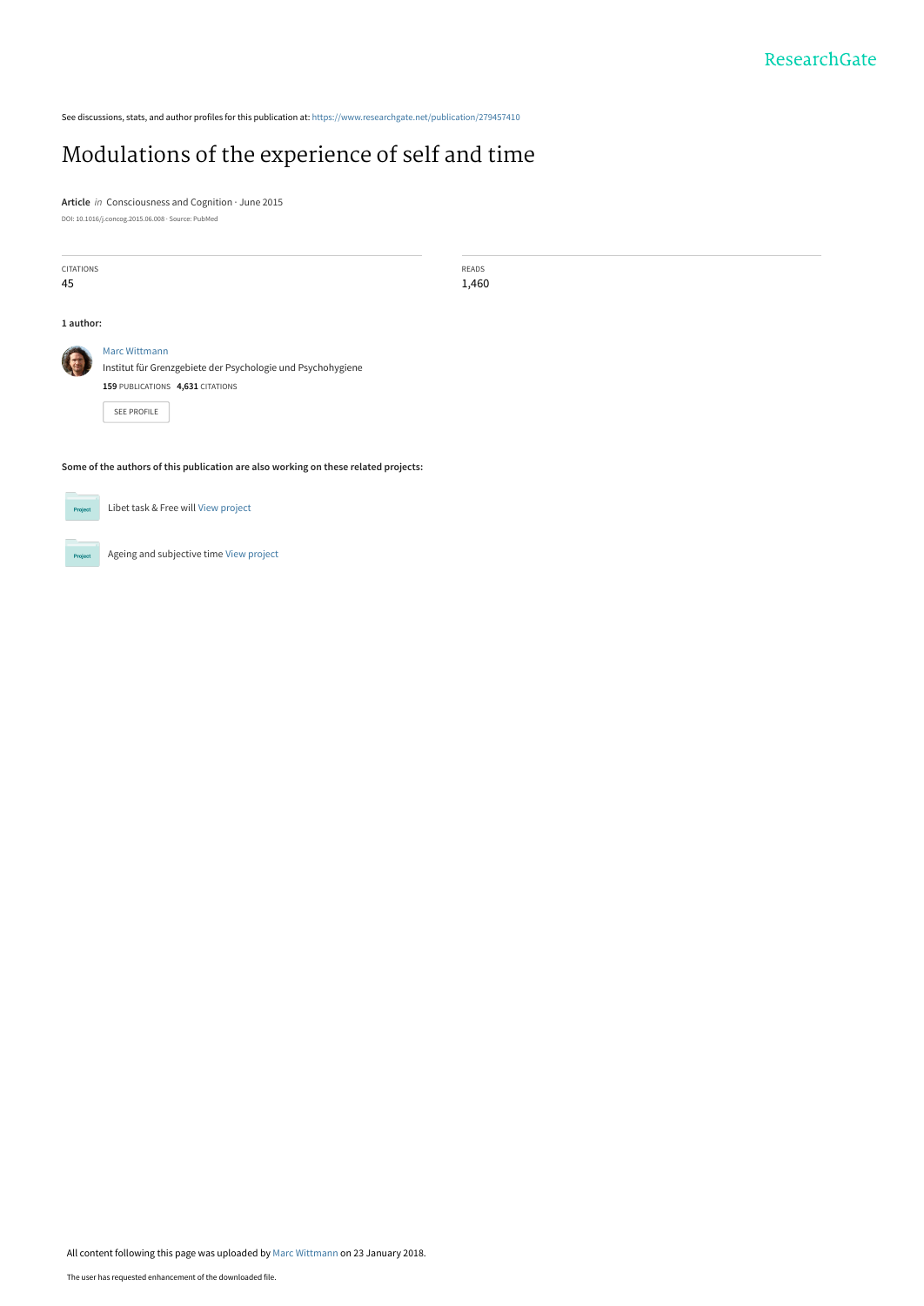See discussions, stats, and author profiles for this publication at: [https://www.researchgate.net/publication/279457410](https://www.researchgate.net/publication/279457410_Modulations_of_the_experience_of_self_and_time?enrichId=rgreq-7b1a34d1df02bd6af10cf97c806a1911-XXX&enrichSource=Y292ZXJQYWdlOzI3OTQ1NzQxMDtBUzo1ODU5MjY0ODA3NzMxMzdAMTUxNjcwNzE2Nzc1Mw%3D%3D&el=1_x_2&_esc=publicationCoverPdf)

# [Modulations of the experience of self and time](https://www.researchgate.net/publication/279457410_Modulations_of_the_experience_of_self_and_time?enrichId=rgreq-7b1a34d1df02bd6af10cf97c806a1911-XXX&enrichSource=Y292ZXJQYWdlOzI3OTQ1NzQxMDtBUzo1ODU5MjY0ODA3NzMxMzdAMTUxNjcwNzE2Nzc1Mw%3D%3D&el=1_x_3&_esc=publicationCoverPdf)

**Article** in Consciousness and Cognition · June 2015 DOI: 10.1016/j.concog.2015.06.008 · Source: PubMed

CITATIONS 45 READS 1,460 **1 author:** [Marc Wittmann](https://www.researchgate.net/profile/Marc_Wittmann?enrichId=rgreq-7b1a34d1df02bd6af10cf97c806a1911-XXX&enrichSource=Y292ZXJQYWdlOzI3OTQ1NzQxMDtBUzo1ODU5MjY0ODA3NzMxMzdAMTUxNjcwNzE2Nzc1Mw%3D%3D&el=1_x_5&_esc=publicationCoverPdf) [Institut für Grenzgebiete der Psychologie und Psychohygiene](https://www.researchgate.net/institution/Institut_fuer_Grenzgebiete_der_Psychologie_und_Psychohygiene?enrichId=rgreq-7b1a34d1df02bd6af10cf97c806a1911-XXX&enrichSource=Y292ZXJQYWdlOzI3OTQ1NzQxMDtBUzo1ODU5MjY0ODA3NzMxMzdAMTUxNjcwNzE2Nzc1Mw%3D%3D&el=1_x_6&_esc=publicationCoverPdf) **159** PUBLICATIONS **4,631** CITATIONS [SEE PROFILE](https://www.researchgate.net/profile/Marc_Wittmann?enrichId=rgreq-7b1a34d1df02bd6af10cf97c806a1911-XXX&enrichSource=Y292ZXJQYWdlOzI3OTQ1NzQxMDtBUzo1ODU5MjY0ODA3NzMxMzdAMTUxNjcwNzE2Nzc1Mw%3D%3D&el=1_x_7&_esc=publicationCoverPdf)

**Some of the authors of this publication are also working on these related projects:**



Libet task & Free will [View project](https://www.researchgate.net/project/Libet-task-Free-will?enrichId=rgreq-7b1a34d1df02bd6af10cf97c806a1911-XXX&enrichSource=Y292ZXJQYWdlOzI3OTQ1NzQxMDtBUzo1ODU5MjY0ODA3NzMxMzdAMTUxNjcwNzE2Nzc1Mw%3D%3D&el=1_x_9&_esc=publicationCoverPdf)

Ageing and subjective time [View project](https://www.researchgate.net/project/Ageing-and-subjective-time?enrichId=rgreq-7b1a34d1df02bd6af10cf97c806a1911-XXX&enrichSource=Y292ZXJQYWdlOzI3OTQ1NzQxMDtBUzo1ODU5MjY0ODA3NzMxMzdAMTUxNjcwNzE2Nzc1Mw%3D%3D&el=1_x_9&_esc=publicationCoverPdf)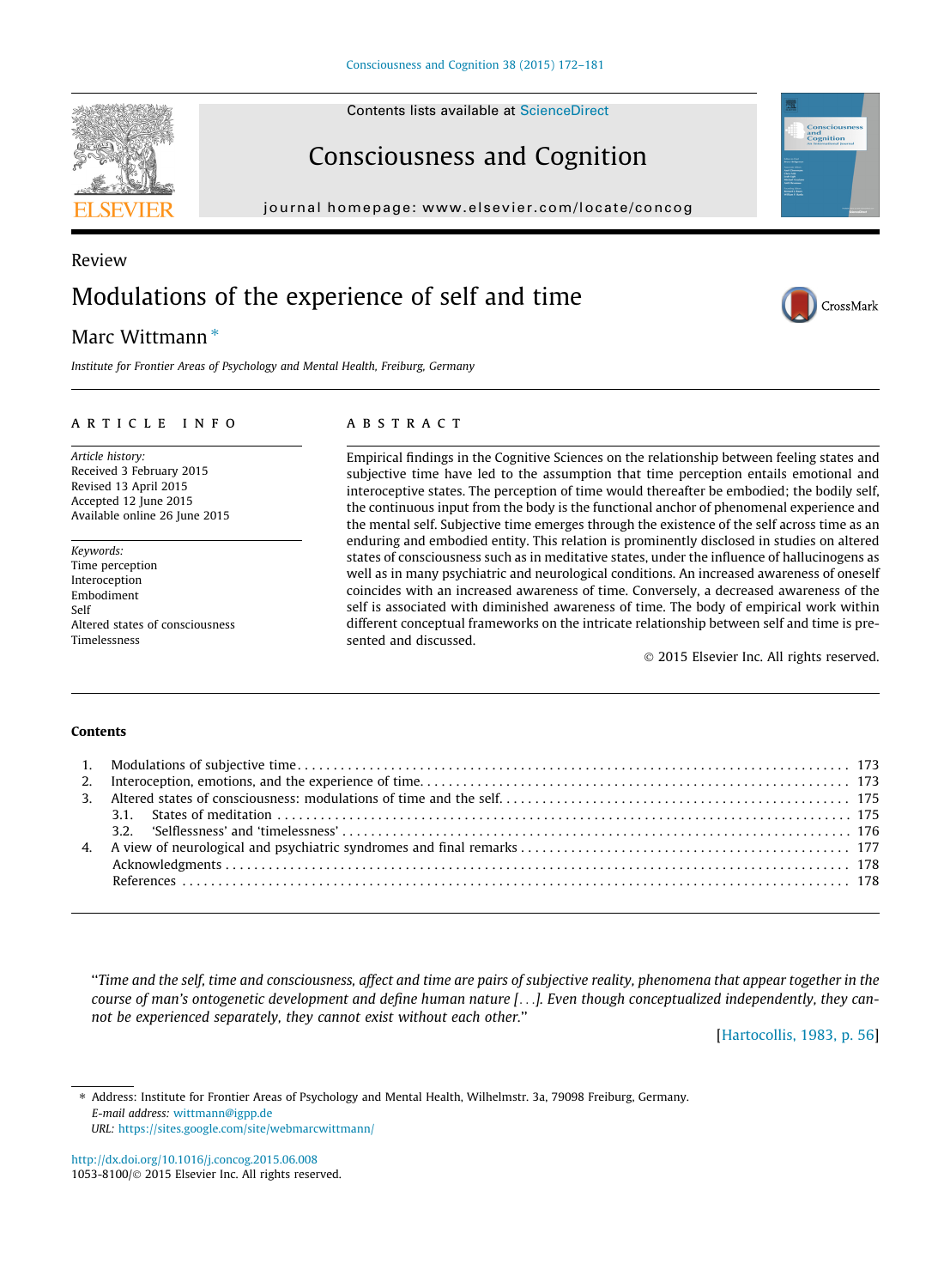Contents lists available at [ScienceDirect](http://www.sciencedirect.com/science/journal/10538100)

# Consciousness and Cognition

journal homepage: [www.elsevier.com/locate/concog](http://www.elsevier.com/locate/concog)

# Review Modulations of the experience of self and time

# Marc Wittmann $*$

Institute for Frontier Areas of Psychology and Mental Health, Freiburg, Germany

# article info

Article history: Received 3 February 2015 Revised 13 April 2015 Accepted 12 June 2015 Available online 26 June 2015

Keywords: Time perception Interoception Embodiment Self Altered states of consciousness Timelessness

# **ABSTRACT**

Empirical findings in the Cognitive Sciences on the relationship between feeling states and subjective time have led to the assumption that time perception entails emotional and interoceptive states. The perception of time would thereafter be embodied; the bodily self, the continuous input from the body is the functional anchor of phenomenal experience and the mental self. Subjective time emerges through the existence of the self across time as an enduring and embodied entity. This relation is prominently disclosed in studies on altered states of consciousness such as in meditative states, under the influence of hallucinogens as well as in many psychiatric and neurological conditions. An increased awareness of oneself coincides with an increased awareness of time. Conversely, a decreased awareness of the self is associated with diminished awareness of time. The body of empirical work within different conceptual frameworks on the intricate relationship between self and time is presented and discussed.

- 2015 Elsevier Inc. All rights reserved.

## Contents

''Time and the self, time and consciousness, affect and time are pairs of subjective reality, phenomena that appear together in the course of man's ontogenetic development and define human nature [...]. Even though conceptualized independently, they cannot be experienced separately, they cannot exist without each other.''

[\[Hartocollis, 1983, p. 56](#page-8-0)]

⇑ Address: Institute for Frontier Areas of Psychology and Mental Health, Wilhelmstr. 3a, 79098 Freiburg, Germany. E-mail address: [wittmann@igpp.de](mailto:wittmann@igpp.de) URL: <https://sites.google.com/site/webmarcwittmann/>

<http://dx.doi.org/10.1016/j.concog.2015.06.008> 1053-8100/© 2015 Elsevier Inc. All rights reserved.





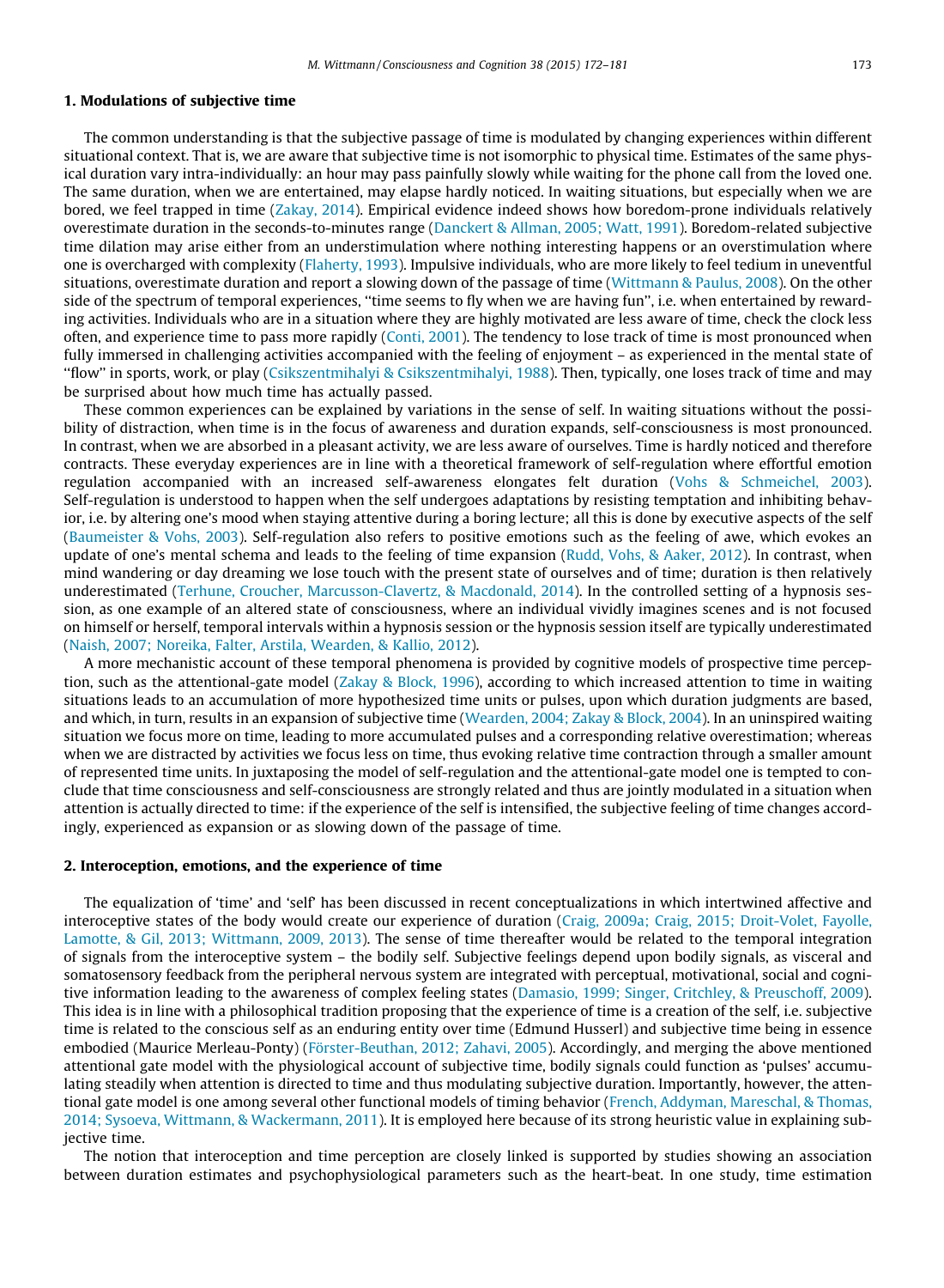# 1. Modulations of subjective time

The common understanding is that the subjective passage of time is modulated by changing experiences within different situational context. That is, we are aware that subjective time is not isomorphic to physical time. Estimates of the same physical duration vary intra-individually: an hour may pass painfully slowly while waiting for the phone call from the loved one. The same duration, when we are entertained, may elapse hardly noticed. In waiting situations, but especially when we are bored, we feel trapped in time [\(Zakay, 2014\)](#page-10-0). Empirical evidence indeed shows how boredom-prone individuals relatively overestimate duration in the seconds-to-minutes range [\(Danckert & Allman, 2005; Watt, 1991\)](#page-8-0). Boredom-related subjective time dilation may arise either from an understimulation where nothing interesting happens or an overstimulation where one is overcharged with complexity ([Flaherty, 1993\)](#page-8-0). Impulsive individuals, who are more likely to feel tedium in uneventful situations, overestimate duration and report a slowing down of the passage of time ([Wittmann & Paulus, 2008\)](#page-10-0). On the other side of the spectrum of temporal experiences, "time seems to fly when we are having fun", i.e. when entertained by rewarding activities. Individuals who are in a situation where they are highly motivated are less aware of time, check the clock less often, and experience time to pass more rapidly [\(Conti, 2001](#page-7-0)). The tendency to lose track of time is most pronounced when fully immersed in challenging activities accompanied with the feeling of enjoyment – as experienced in the mental state of ''flow'' in sports, work, or play [\(Csikszentmihalyi & Csikszentmihalyi, 1988\)](#page-8-0). Then, typically, one loses track of time and may be surprised about how much time has actually passed.

These common experiences can be explained by variations in the sense of self. In waiting situations without the possibility of distraction, when time is in the focus of awareness and duration expands, self-consciousness is most pronounced. In contrast, when we are absorbed in a pleasant activity, we are less aware of ourselves. Time is hardly noticed and therefore contracts. These everyday experiences are in line with a theoretical framework of self-regulation where effortful emotion regulation accompanied with an increased self-awareness elongates felt duration ([Vohs & Schmeichel, 2003](#page-10-0)). Self-regulation is understood to happen when the self undergoes adaptations by resisting temptation and inhibiting behavior, i.e. by altering one's mood when staying attentive during a boring lecture; all this is done by executive aspects of the self ([Baumeister & Vohs, 2003\)](#page-7-0). Self-regulation also refers to positive emotions such as the feeling of awe, which evokes an update of one's mental schema and leads to the feeling of time expansion ([Rudd, Vohs, & Aaker, 2012](#page-9-0)). In contrast, when mind wandering or day dreaming we lose touch with the present state of ourselves and of time; duration is then relatively underestimated ([Terhune, Croucher, Marcusson-Clavertz, & Macdonald, 2014](#page-9-0)). In the controlled setting of a hypnosis session, as one example of an altered state of consciousness, where an individual vividly imagines scenes and is not focused on himself or herself, temporal intervals within a hypnosis session or the hypnosis session itself are typically underestimated ([Naish, 2007; Noreika, Falter, Arstila, Wearden, & Kallio, 2012\)](#page-9-0).

A more mechanistic account of these temporal phenomena is provided by cognitive models of prospective time perception, such as the attentional-gate model ([Zakay & Block, 1996\)](#page-10-0), according to which increased attention to time in waiting situations leads to an accumulation of more hypothesized time units or pulses, upon which duration judgments are based, and which, in turn, results in an expansion of subjective time [\(Wearden, 2004; Zakay & Block, 2004\)](#page-10-0). In an uninspired waiting situation we focus more on time, leading to more accumulated pulses and a corresponding relative overestimation; whereas when we are distracted by activities we focus less on time, thus evoking relative time contraction through a smaller amount of represented time units. In juxtaposing the model of self-regulation and the attentional-gate model one is tempted to conclude that time consciousness and self-consciousness are strongly related and thus are jointly modulated in a situation when attention is actually directed to time: if the experience of the self is intensified, the subjective feeling of time changes accordingly, experienced as expansion or as slowing down of the passage of time.

# 2. Interoception, emotions, and the experience of time

The equalization of 'time' and 'self' has been discussed in recent conceptualizations in which intertwined affective and interoceptive states of the body would create our experience of duration [\(Craig, 2009a; Craig, 2015; Droit-Volet, Fayolle,](#page-7-0) [Lamotte, & Gil, 2013; Wittmann, 2009, 2013\)](#page-7-0). The sense of time thereafter would be related to the temporal integration of signals from the interoceptive system – the bodily self. Subjective feelings depend upon bodily signals, as visceral and somatosensory feedback from the peripheral nervous system are integrated with perceptual, motivational, social and cognitive information leading to the awareness of complex feeling states ([Damasio, 1999; Singer, Critchley, & Preuschoff, 2009](#page-8-0)). This idea is in line with a philosophical tradition proposing that the experience of time is a creation of the self, i.e. subjective time is related to the conscious self as an enduring entity over time (Edmund Husserl) and subjective time being in essence embodied (Maurice Merleau-Ponty) ([Förster-Beuthan, 2012; Zahavi, 2005\)](#page-8-0). Accordingly, and merging the above mentioned attentional gate model with the physiological account of subjective time, bodily signals could function as 'pulses' accumulating steadily when attention is directed to time and thus modulating subjective duration. Importantly, however, the attentional gate model is one among several other functional models of timing behavior ([French, Addyman, Mareschal, & Thomas,](#page-8-0) [2014; Sysoeva, Wittmann, & Wackermann, 2011](#page-8-0)). It is employed here because of its strong heuristic value in explaining subjective time.

The notion that interoception and time perception are closely linked is supported by studies showing an association between duration estimates and psychophysiological parameters such as the heart-beat. In one study, time estimation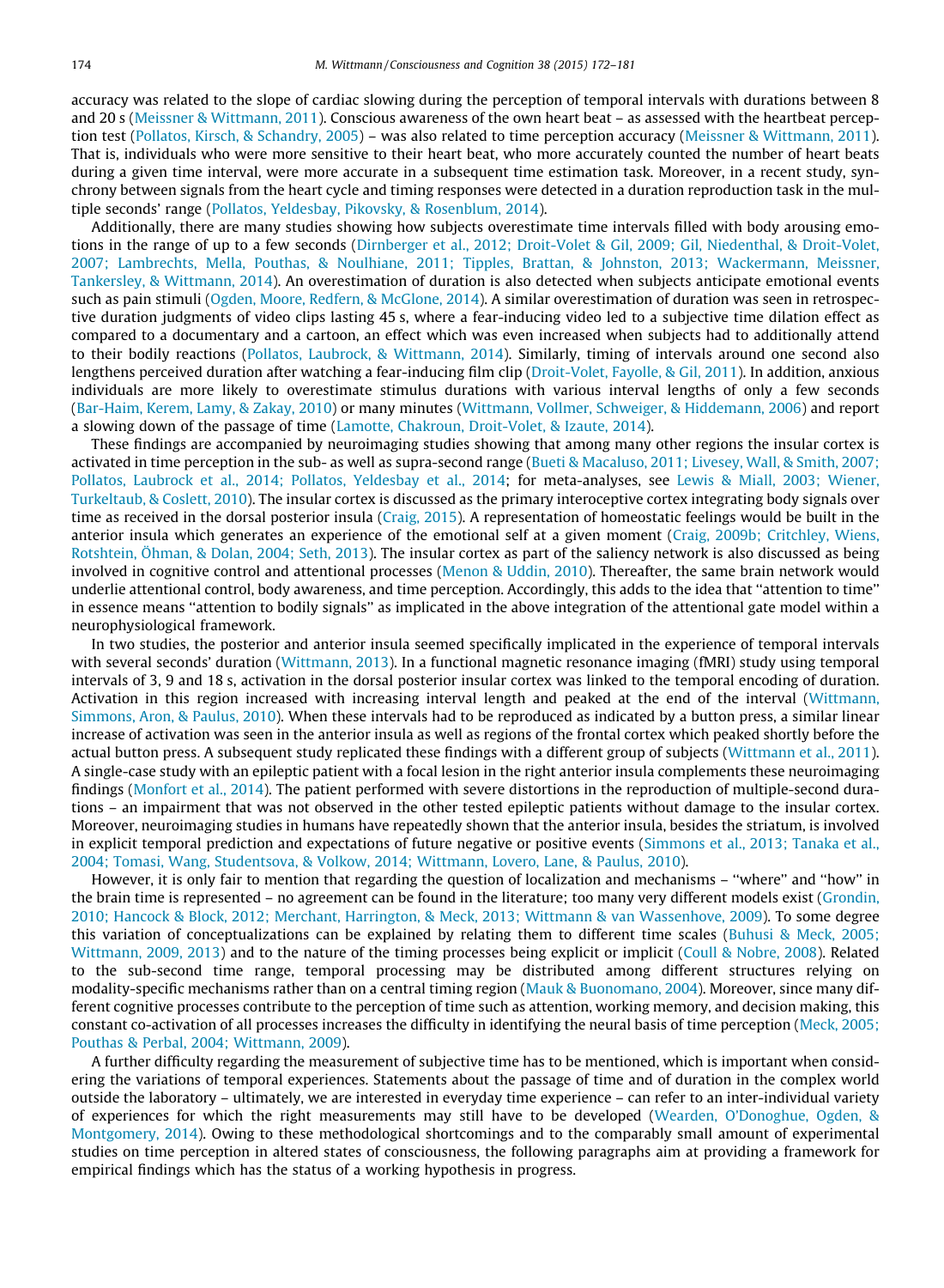accuracy was related to the slope of cardiac slowing during the perception of temporal intervals with durations between 8 and 20 s ([Meissner & Wittmann, 2011\)](#page-8-0). Conscious awareness of the own heart beat – as assessed with the heartbeat perception test [\(Pollatos, Kirsch, & Schandry, 2005\)](#page-9-0) – was also related to time perception accuracy [\(Meissner & Wittmann, 2011](#page-8-0)). That is, individuals who were more sensitive to their heart beat, who more accurately counted the number of heart beats during a given time interval, were more accurate in a subsequent time estimation task. Moreover, in a recent study, synchrony between signals from the heart cycle and timing responses were detected in a duration reproduction task in the multiple seconds' range [\(Pollatos, Yeldesbay, Pikovsky, & Rosenblum, 2014\)](#page-9-0).

Additionally, there are many studies showing how subjects overestimate time intervals filled with body arousing emotions in the range of up to a few seconds ([Dirnberger et al., 2012; Droit-Volet & Gil, 2009; Gil, Niedenthal, & Droit-Volet,](#page-8-0) [2007; Lambrechts, Mella, Pouthas, & Noulhiane, 2011; Tipples, Brattan, & Johnston, 2013; Wackermann, Meissner,](#page-8-0) [Tankersley, & Wittmann, 2014](#page-8-0)). An overestimation of duration is also detected when subjects anticipate emotional events such as pain stimuli ([Ogden, Moore, Redfern, & McGlone, 2014](#page-9-0)). A similar overestimation of duration was seen in retrospective duration judgments of video clips lasting 45 s, where a fear-inducing video led to a subjective time dilation effect as compared to a documentary and a cartoon, an effect which was even increased when subjects had to additionally attend to their bodily reactions ([Pollatos, Laubrock, & Wittmann, 2014](#page-9-0)). Similarly, timing of intervals around one second also lengthens perceived duration after watching a fear-inducing film clip ([Droit-Volet, Fayolle, & Gil, 2011\)](#page-8-0). In addition, anxious individuals are more likely to overestimate stimulus durations with various interval lengths of only a few seconds [\(Bar-Haim, Kerem, Lamy, & Zakay, 2010](#page-7-0)) or many minutes ([Wittmann, Vollmer, Schweiger, & Hiddemann, 2006](#page-10-0)) and report a slowing down of the passage of time [\(Lamotte, Chakroun, Droit-Volet, & Izaute, 2014\)](#page-8-0).

These findings are accompanied by neuroimaging studies showing that among many other regions the insular cortex is activated in time perception in the sub- as well as supra-second range ([Bueti & Macaluso, 2011; Livesey, Wall, & Smith, 2007;](#page-7-0) [Pollatos, Laubrock et al., 2014; Pollatos, Yeldesbay et al., 2014;](#page-7-0) for meta-analyses, see [Lewis & Miall, 2003; Wiener,](#page-8-0) [Turkeltaub, & Coslett, 2010](#page-8-0)). The insular cortex is discussed as the primary interoceptive cortex integrating body signals over time as received in the dorsal posterior insula ([Craig, 2015\)](#page-7-0). A representation of homeostatic feelings would be built in the anterior insula which generates an experience of the emotional self at a given moment [\(Craig, 2009b; Critchley, Wiens,](#page-7-0) [Rotshtein, Öhman, & Dolan, 2004; Seth, 2013](#page-7-0)). The insular cortex as part of the saliency network is also discussed as being involved in cognitive control and attentional processes [\(Menon & Uddin, 2010\)](#page-8-0). Thereafter, the same brain network would underlie attentional control, body awareness, and time perception. Accordingly, this adds to the idea that ''attention to time'' in essence means ''attention to bodily signals'' as implicated in the above integration of the attentional gate model within a neurophysiological framework.

In two studies, the posterior and anterior insula seemed specifically implicated in the experience of temporal intervals with several seconds' duration [\(Wittmann, 2013](#page-10-0)). In a functional magnetic resonance imaging (fMRI) study using temporal intervals of 3, 9 and 18 s, activation in the dorsal posterior insular cortex was linked to the temporal encoding of duration. Activation in this region increased with increasing interval length and peaked at the end of the interval ([Wittmann,](#page-10-0) [Simmons, Aron, & Paulus, 2010](#page-10-0)). When these intervals had to be reproduced as indicated by a button press, a similar linear increase of activation was seen in the anterior insula as well as regions of the frontal cortex which peaked shortly before the actual button press. A subsequent study replicated these findings with a different group of subjects [\(Wittmann et al., 2011](#page-10-0)). A single-case study with an epileptic patient with a focal lesion in the right anterior insula complements these neuroimaging findings [\(Monfort et al., 2014](#page-9-0)). The patient performed with severe distortions in the reproduction of multiple-second durations – an impairment that was not observed in the other tested epileptic patients without damage to the insular cortex. Moreover, neuroimaging studies in humans have repeatedly shown that the anterior insula, besides the striatum, is involved in explicit temporal prediction and expectations of future negative or positive events ([Simmons et al., 2013; Tanaka et al.,](#page-9-0) [2004; Tomasi, Wang, Studentsova, & Volkow, 2014; Wittmann, Lovero, Lane, & Paulus, 2010](#page-9-0)).

However, it is only fair to mention that regarding the question of localization and mechanisms – ''where'' and ''how'' in the brain time is represented – no agreement can be found in the literature; too many very different models exist ([Grondin,](#page-8-0) [2010; Hancock & Block, 2012; Merchant, Harrington, & Meck, 2013; Wittmann & van Wassenhove, 2009\)](#page-8-0). To some degree this variation of conceptualizations can be explained by relating them to different time scales [\(Buhusi & Meck, 2005;](#page-7-0) [Wittmann, 2009, 2013](#page-7-0)) and to the nature of the timing processes being explicit or implicit [\(Coull & Nobre, 2008\)](#page-7-0). Related to the sub-second time range, temporal processing may be distributed among different structures relying on modality-specific mechanisms rather than on a central timing region [\(Mauk & Buonomano, 2004\)](#page-8-0). Moreover, since many different cognitive processes contribute to the perception of time such as attention, working memory, and decision making, this constant co-activation of all processes increases the difficulty in identifying the neural basis of time perception [\(Meck, 2005;](#page-8-0) [Pouthas & Perbal, 2004; Wittmann, 2009](#page-8-0)).

A further difficulty regarding the measurement of subjective time has to be mentioned, which is important when considering the variations of temporal experiences. Statements about the passage of time and of duration in the complex world outside the laboratory – ultimately, we are interested in everyday time experience – can refer to an inter-individual variety of experiences for which the right measurements may still have to be developed ([Wearden, O'Donoghue, Ogden, &](#page-10-0) [Montgomery, 2014](#page-10-0)). Owing to these methodological shortcomings and to the comparably small amount of experimental studies on time perception in altered states of consciousness, the following paragraphs aim at providing a framework for empirical findings which has the status of a working hypothesis in progress.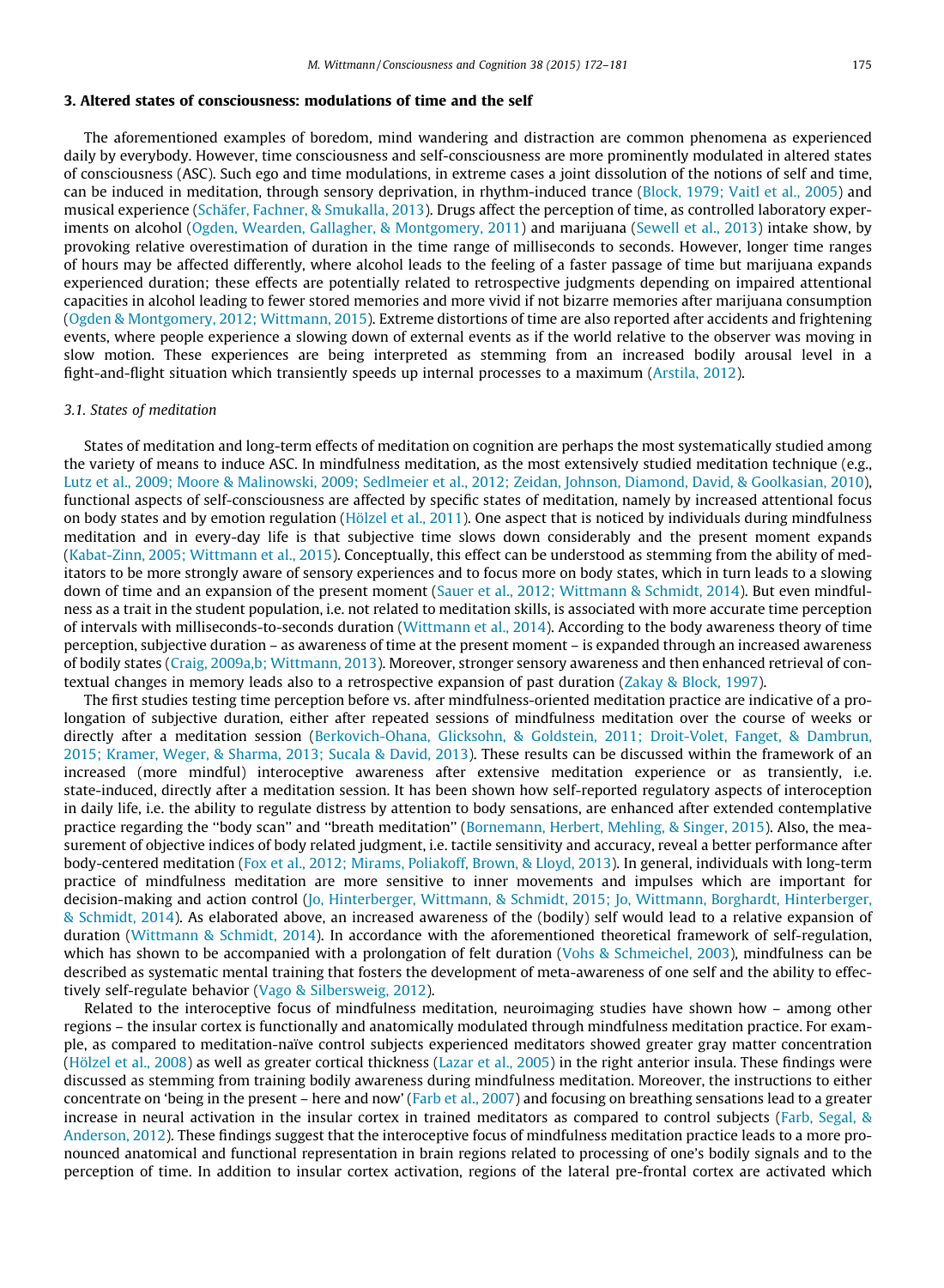# 3. Altered states of consciousness: modulations of time and the self

The aforementioned examples of boredom, mind wandering and distraction are common phenomena as experienced daily by everybody. However, time consciousness and self-consciousness are more prominently modulated in altered states of consciousness (ASC). Such ego and time modulations, in extreme cases a joint dissolution of the notions of self and time, can be induced in meditation, through sensory deprivation, in rhythm-induced trance ([Block, 1979; Vaitl et al., 2005](#page-7-0)) and musical experience [\(Schäfer, Fachner, & Smukalla, 2013](#page-9-0)). Drugs affect the perception of time, as controlled laboratory exper-iments on alcohol ([Ogden, Wearden, Gallagher, & Montgomery, 2011\)](#page-9-0) and marijuana [\(Sewell et al., 2013](#page-9-0)) intake show, by provoking relative overestimation of duration in the time range of milliseconds to seconds. However, longer time ranges of hours may be affected differently, where alcohol leads to the feeling of a faster passage of time but marijuana expands experienced duration; these effects are potentially related to retrospective judgments depending on impaired attentional capacities in alcohol leading to fewer stored memories and more vivid if not bizarre memories after marijuana consumption ([Ogden & Montgomery, 2012; Wittmann, 2015\)](#page-9-0). Extreme distortions of time are also reported after accidents and frightening events, where people experience a slowing down of external events as if the world relative to the observer was moving in slow motion. These experiences are being interpreted as stemming from an increased bodily arousal level in a fight-and-flight situation which transiently speeds up internal processes to a maximum ([Arstila, 2012\)](#page-7-0).

# 3.1. States of meditation

States of meditation and long-term effects of meditation on cognition are perhaps the most systematically studied among the variety of means to induce ASC. In mindfulness meditation, as the most extensively studied meditation technique (e.g., [Lutz et al., 2009; Moore & Malinowski, 2009; Sedlmeier et al., 2012; Zeidan, Johnson, Diamond, David, & Goolkasian, 2010](#page-8-0)), functional aspects of self-consciousness are affected by specific states of meditation, namely by increased attentional focus on body states and by emotion regulation [\(Hölzel et al., 2011\)](#page-8-0). One aspect that is noticed by individuals during mindfulness meditation and in every-day life is that subjective time slows down considerably and the present moment expands ([Kabat-Zinn, 2005; Wittmann et al., 2015\)](#page-8-0). Conceptually, this effect can be understood as stemming from the ability of meditators to be more strongly aware of sensory experiences and to focus more on body states, which in turn leads to a slowing down of time and an expansion of the present moment [\(Sauer et al., 2012; Wittmann & Schmidt, 2014\)](#page-9-0). But even mindfulness as a trait in the student population, i.e. not related to meditation skills, is associated with more accurate time perception of intervals with milliseconds-to-seconds duration ([Wittmann et al., 2014\)](#page-10-0). According to the body awareness theory of time perception, subjective duration – as awareness of time at the present moment – is expanded through an increased awareness of bodily states [\(Craig, 2009a,b; Wittmann, 2013\)](#page-7-0). Moreover, stronger sensory awareness and then enhanced retrieval of contextual changes in memory leads also to a retrospective expansion of past duration [\(Zakay & Block, 1997](#page-10-0)).

The first studies testing time perception before vs. after mindfulness-oriented meditation practice are indicative of a prolongation of subjective duration, either after repeated sessions of mindfulness meditation over the course of weeks or directly after a meditation session ([Berkovich-Ohana, Glicksohn, & Goldstein, 2011; Droit-Volet, Fanget, & Dambrun,](#page-7-0) [2015; Kramer, Weger, & Sharma, 2013; Sucala & David, 2013](#page-7-0)). These results can be discussed within the framework of an increased (more mindful) interoceptive awareness after extensive meditation experience or as transiently, i.e. state-induced, directly after a meditation session. It has been shown how self-reported regulatory aspects of interoception in daily life, i.e. the ability to regulate distress by attention to body sensations, are enhanced after extended contemplative practice regarding the ''body scan'' and ''breath meditation'' [\(Bornemann, Herbert, Mehling, & Singer, 2015](#page-7-0)). Also, the measurement of objective indices of body related judgment, i.e. tactile sensitivity and accuracy, reveal a better performance after body-centered meditation ([Fox et al., 2012; Mirams, Poliakoff, Brown, & Lloyd, 2013\)](#page-8-0). In general, individuals with long-term practice of mindfulness meditation are more sensitive to inner movements and impulses which are important for decision-making and action control ([Jo, Hinterberger, Wittmann, & Schmidt, 2015; Jo, Wittmann, Borghardt, Hinterberger,](#page-8-0) [& Schmidt, 2014\)](#page-8-0). As elaborated above, an increased awareness of the (bodily) self would lead to a relative expansion of duration ([Wittmann & Schmidt, 2014](#page-10-0)). In accordance with the aforementioned theoretical framework of self-regulation, which has shown to be accompanied with a prolongation of felt duration [\(Vohs & Schmeichel, 2003](#page-10-0)), mindfulness can be described as systematic mental training that fosters the development of meta-awareness of one self and the ability to effectively self-regulate behavior [\(Vago & Silbersweig, 2012\)](#page-9-0).

Related to the interoceptive focus of mindfulness meditation, neuroimaging studies have shown how – among other regions – the insular cortex is functionally and anatomically modulated through mindfulness meditation practice. For example, as compared to meditation-naïve control subjects experienced meditators showed greater gray matter concentration ([Hölzel et al., 2008\)](#page-8-0) as well as greater cortical thickness [\(Lazar et al., 2005](#page-8-0)) in the right anterior insula. These findings were discussed as stemming from training bodily awareness during mindfulness meditation. Moreover, the instructions to either concentrate on 'being in the present – here and now' ([Farb et al., 2007](#page-8-0)) and focusing on breathing sensations lead to a greater increase in neural activation in the insular cortex in trained meditators as compared to control subjects ([Farb, Segal, &](#page-8-0) [Anderson, 2012\)](#page-8-0). These findings suggest that the interoceptive focus of mindfulness meditation practice leads to a more pronounced anatomical and functional representation in brain regions related to processing of one's bodily signals and to the perception of time. In addition to insular cortex activation, regions of the lateral pre-frontal cortex are activated which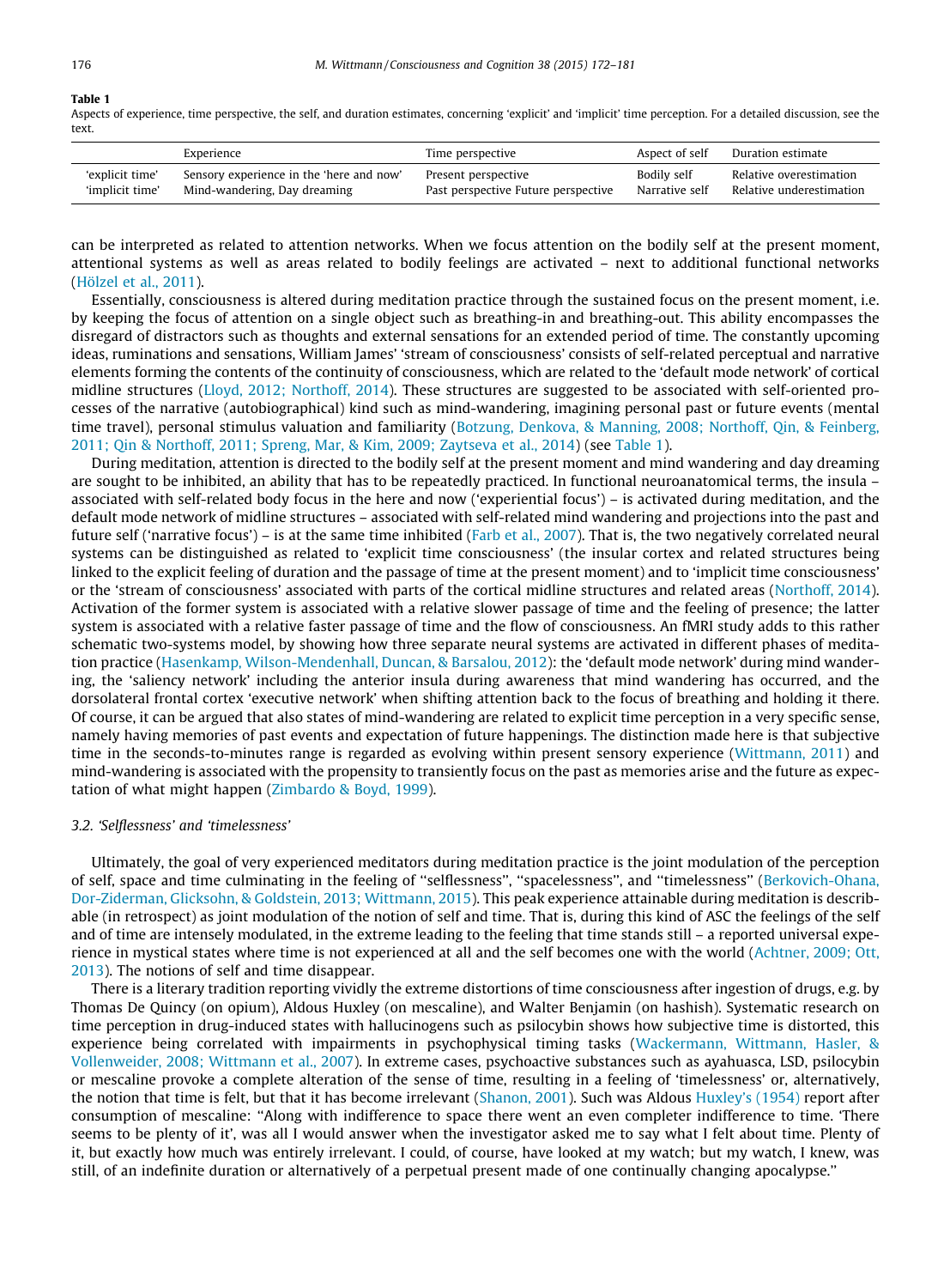# Table 1

Aspects of experience, time perspective, the self, and duration estimates, concerning 'explicit' and 'implicit' time perception. For a detailed discussion, see the text.

|                 | Experience                               | Time perspective                    | Aspect of self | Duration estimate        |
|-----------------|------------------------------------------|-------------------------------------|----------------|--------------------------|
| 'explicit time' | Sensory experience in the 'here and now' | Present perspective                 | Bodily self    | Relative overestimation  |
| 'implicit time' | Mind-wandering, Day dreaming             | Past perspective Future perspective | Narrative self | Relative underestimation |

can be interpreted as related to attention networks. When we focus attention on the bodily self at the present moment, attentional systems as well as areas related to bodily feelings are activated – next to additional functional networks [\(Hölzel et al., 2011\)](#page-8-0).

Essentially, consciousness is altered during meditation practice through the sustained focus on the present moment, i.e. by keeping the focus of attention on a single object such as breathing-in and breathing-out. This ability encompasses the disregard of distractors such as thoughts and external sensations for an extended period of time. The constantly upcoming ideas, ruminations and sensations, William James' 'stream of consciousness' consists of self-related perceptual and narrative elements forming the contents of the continuity of consciousness, which are related to the 'default mode network' of cortical midline structures ([Lloyd, 2012; Northoff, 2014](#page-8-0)). These structures are suggested to be associated with self-oriented processes of the narrative (autobiographical) kind such as mind-wandering, imagining personal past or future events (mental time travel), personal stimulus valuation and familiarity [\(Botzung, Denkova, & Manning, 2008; Northoff, Qin, & Feinberg,](#page-7-0) [2011; Qin & Northoff, 2011; Spreng, Mar, & Kim, 2009; Zaytseva et al., 2014\)](#page-7-0) (see Table 1).

During meditation, attention is directed to the bodily self at the present moment and mind wandering and day dreaming are sought to be inhibited, an ability that has to be repeatedly practiced. In functional neuroanatomical terms, the insula – associated with self-related body focus in the here and now ('experiential focus') – is activated during meditation, and the default mode network of midline structures – associated with self-related mind wandering and projections into the past and future self ('narrative focus') – is at the same time inhibited [\(Farb et al., 2007\)](#page-8-0). That is, the two negatively correlated neural systems can be distinguished as related to 'explicit time consciousness' (the insular cortex and related structures being linked to the explicit feeling of duration and the passage of time at the present moment) and to 'implicit time consciousness' or the 'stream of consciousness' associated with parts of the cortical midline structures and related areas [\(Northoff, 2014](#page-9-0)). Activation of the former system is associated with a relative slower passage of time and the feeling of presence; the latter system is associated with a relative faster passage of time and the flow of consciousness. An fMRI study adds to this rather schematic two-systems model, by showing how three separate neural systems are activated in different phases of medita-tion practice [\(Hasenkamp, Wilson-Mendenhall, Duncan, & Barsalou, 2012\)](#page-8-0): the 'default mode network' during mind wandering, the 'saliency network' including the anterior insula during awareness that mind wandering has occurred, and the dorsolateral frontal cortex 'executive network' when shifting attention back to the focus of breathing and holding it there. Of course, it can be argued that also states of mind-wandering are related to explicit time perception in a very specific sense, namely having memories of past events and expectation of future happenings. The distinction made here is that subjective time in the seconds-to-minutes range is regarded as evolving within present sensory experience ([Wittmann, 2011\)](#page-10-0) and mind-wandering is associated with the propensity to transiently focus on the past as memories arise and the future as expectation of what might happen ([Zimbardo & Boyd, 1999\)](#page-10-0).

## 3.2. 'Selflessness' and 'timelessness'

Ultimately, the goal of very experienced meditators during meditation practice is the joint modulation of the perception of self, space and time culminating in the feeling of ''selflessness'', ''spacelessness'', and ''timelessness'' ([Berkovich-Ohana,](#page-7-0) [Dor-Ziderman, Glicksohn, & Goldstein, 2013; Wittmann, 2015\)](#page-7-0). This peak experience attainable during meditation is describable (in retrospect) as joint modulation of the notion of self and time. That is, during this kind of ASC the feelings of the self and of time are intensely modulated, in the extreme leading to the feeling that time stands still – a reported universal experience in mystical states where time is not experienced at all and the self becomes one with the world [\(Achtner, 2009; Ott,](#page-7-0) [2013](#page-7-0)). The notions of self and time disappear.

There is a literary tradition reporting vividly the extreme distortions of time consciousness after ingestion of drugs, e.g. by Thomas De Quincy (on opium), Aldous Huxley (on mescaline), and Walter Benjamin (on hashish). Systematic research on time perception in drug-induced states with hallucinogens such as psilocybin shows how subjective time is distorted, this experience being correlated with impairments in psychophysical timing tasks ([Wackermann, Wittmann, Hasler, &](#page-10-0) [Vollenweider, 2008; Wittmann et al., 2007](#page-10-0)). In extreme cases, psychoactive substances such as ayahuasca, LSD, psilocybin or mescaline provoke a complete alteration of the sense of time, resulting in a feeling of 'timelessness' or, alternatively, the notion that time is felt, but that it has become irrelevant ([Shanon, 2001\)](#page-9-0). Such was Aldous [Huxley's \(1954\)](#page-8-0) report after consumption of mescaline: ''Along with indifference to space there went an even completer indifference to time. 'There seems to be plenty of it', was all I would answer when the investigator asked me to say what I felt about time. Plenty of it, but exactly how much was entirely irrelevant. I could, of course, have looked at my watch; but my watch, I knew, was still, of an indefinite duration or alternatively of a perpetual present made of one continually changing apocalypse.''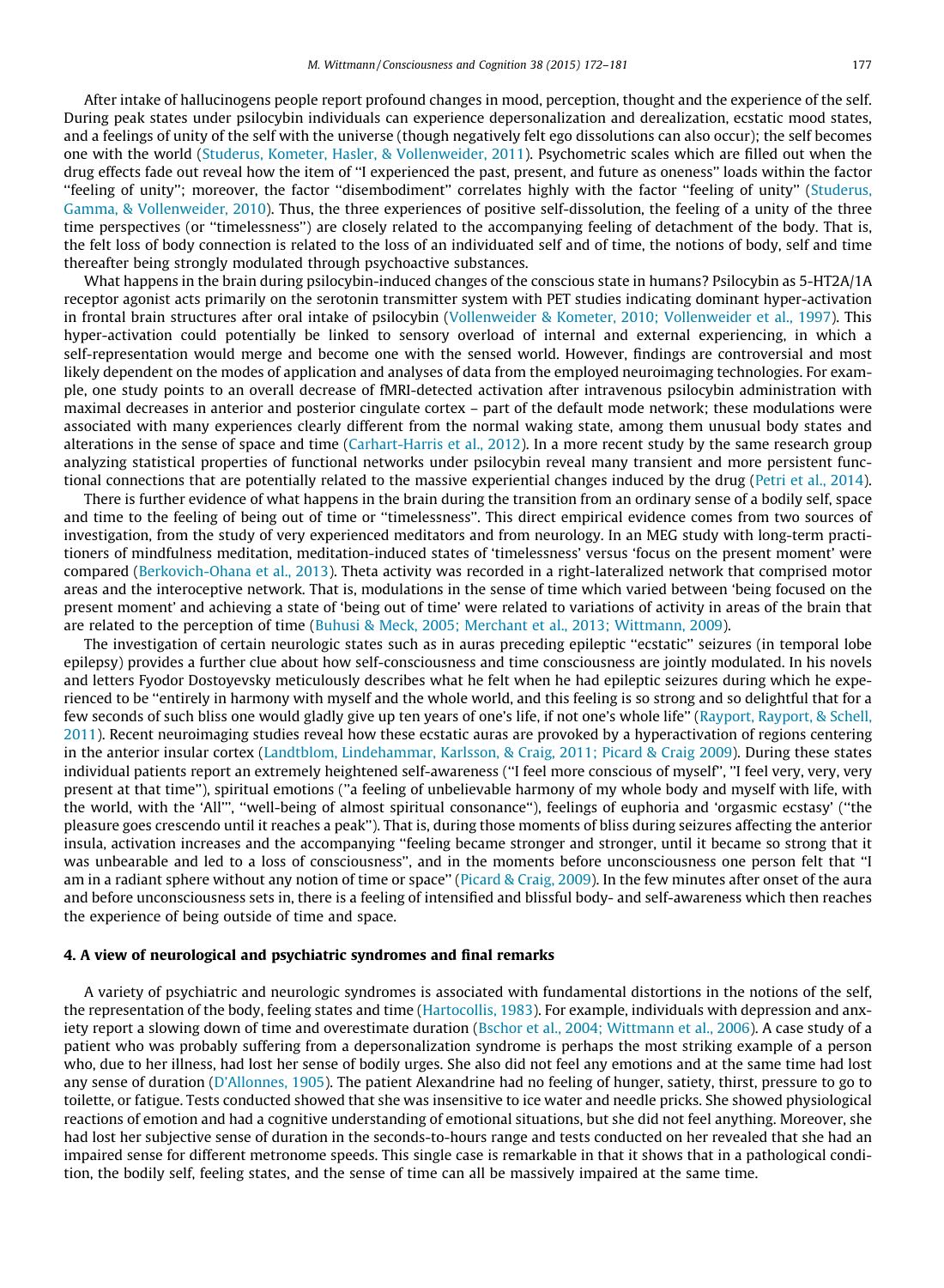After intake of hallucinogens people report profound changes in mood, perception, thought and the experience of the self. During peak states under psilocybin individuals can experience depersonalization and derealization, ecstatic mood states, and a feelings of unity of the self with the universe (though negatively felt ego dissolutions can also occur); the self becomes one with the world ([Studerus, Kometer, Hasler, & Vollenweider, 2011\)](#page-9-0). Psychometric scales which are filled out when the drug effects fade out reveal how the item of ''I experienced the past, present, and future as oneness'' loads within the factor ''feeling of unity''; moreover, the factor ''disembodiment'' correlates highly with the factor ''feeling of unity'' ([Studerus,](#page-9-0) [Gamma, & Vollenweider, 2010](#page-9-0)). Thus, the three experiences of positive self-dissolution, the feeling of a unity of the three time perspectives (or ''timelessness'') are closely related to the accompanying feeling of detachment of the body. That is, the felt loss of body connection is related to the loss of an individuated self and of time, the notions of body, self and time thereafter being strongly modulated through psychoactive substances.

What happens in the brain during psilocybin-induced changes of the conscious state in humans? Psilocybin as 5-HT2A/1A receptor agonist acts primarily on the serotonin transmitter system with PET studies indicating dominant hyper-activation in frontal brain structures after oral intake of psilocybin [\(Vollenweider & Kometer, 2010; Vollenweider et al., 1997](#page-10-0)). This hyper-activation could potentially be linked to sensory overload of internal and external experiencing, in which a self-representation would merge and become one with the sensed world. However, findings are controversial and most likely dependent on the modes of application and analyses of data from the employed neuroimaging technologies. For example, one study points to an overall decrease of fMRI-detected activation after intravenous psilocybin administration with maximal decreases in anterior and posterior cingulate cortex – part of the default mode network; these modulations were associated with many experiences clearly different from the normal waking state, among them unusual body states and alterations in the sense of space and time [\(Carhart-Harris et al., 2012](#page-7-0)). In a more recent study by the same research group analyzing statistical properties of functional networks under psilocybin reveal many transient and more persistent functional connections that are potentially related to the massive experiential changes induced by the drug ([Petri et al., 2014](#page-9-0)).

There is further evidence of what happens in the brain during the transition from an ordinary sense of a bodily self, space and time to the feeling of being out of time or ''timelessness''. This direct empirical evidence comes from two sources of investigation, from the study of very experienced meditators and from neurology. In an MEG study with long-term practitioners of mindfulness meditation, meditation-induced states of 'timelessness' versus 'focus on the present moment' were compared [\(Berkovich-Ohana et al., 2013\)](#page-7-0). Theta activity was recorded in a right-lateralized network that comprised motor areas and the interoceptive network. That is, modulations in the sense of time which varied between 'being focused on the present moment' and achieving a state of 'being out of time' were related to variations of activity in areas of the brain that are related to the perception of time ([Buhusi & Meck, 2005; Merchant et al., 2013; Wittmann, 2009\)](#page-7-0).

The investigation of certain neurologic states such as in auras preceding epileptic "ecstatic" seizures (in temporal lobe epilepsy) provides a further clue about how self-consciousness and time consciousness are jointly modulated. In his novels and letters Fyodor Dostoyevsky meticulously describes what he felt when he had epileptic seizures during which he experienced to be ''entirely in harmony with myself and the whole world, and this feeling is so strong and so delightful that for a few seconds of such bliss one would gladly give up ten years of one's life, if not one's whole life'' ([Rayport, Rayport, & Schell,](#page-9-0) [2011\)](#page-9-0). Recent neuroimaging studies reveal how these ecstatic auras are provoked by a hyperactivation of regions centering in the anterior insular cortex [\(Landtblom, Lindehammar, Karlsson, & Craig, 2011; Picard & Craig 2009](#page-8-0)). During these states individual patients report an extremely heightened self-awareness (''I feel more conscious of myself'', ''I feel very, very, very present at that time''), spiritual emotions (''a feeling of unbelievable harmony of my whole body and myself with life, with the world, with the 'All''', ''well-being of almost spiritual consonance''), feelings of euphoria and 'orgasmic ecstasy' (''the pleasure goes crescendo until it reaches a peak''). That is, during those moments of bliss during seizures affecting the anterior insula, activation increases and the accompanying ''feeling became stronger and stronger, until it became so strong that it was unbearable and led to a loss of consciousness'', and in the moments before unconsciousness one person felt that ''I am in a radiant sphere without any notion of time or space'' ([Picard & Craig, 2009\)](#page-9-0). In the few minutes after onset of the aura and before unconsciousness sets in, there is a feeling of intensified and blissful body- and self-awareness which then reaches the experience of being outside of time and space.

# 4. A view of neurological and psychiatric syndromes and final remarks

A variety of psychiatric and neurologic syndromes is associated with fundamental distortions in the notions of the self, the representation of the body, feeling states and time ([Hartocollis, 1983\)](#page-8-0). For example, individuals with depression and anxiety report a slowing down of time and overestimate duration [\(Bschor et al., 2004; Wittmann et al., 2006\)](#page-7-0). A case study of a patient who was probably suffering from a depersonalization syndrome is perhaps the most striking example of a person who, due to her illness, had lost her sense of bodily urges. She also did not feel any emotions and at the same time had lost any sense of duration ([D'Allonnes, 1905](#page-8-0)). The patient Alexandrine had no feeling of hunger, satiety, thirst, pressure to go to toilette, or fatigue. Tests conducted showed that she was insensitive to ice water and needle pricks. She showed physiological reactions of emotion and had a cognitive understanding of emotional situations, but she did not feel anything. Moreover, she had lost her subjective sense of duration in the seconds-to-hours range and tests conducted on her revealed that she had an impaired sense for different metronome speeds. This single case is remarkable in that it shows that in a pathological condition, the bodily self, feeling states, and the sense of time can all be massively impaired at the same time.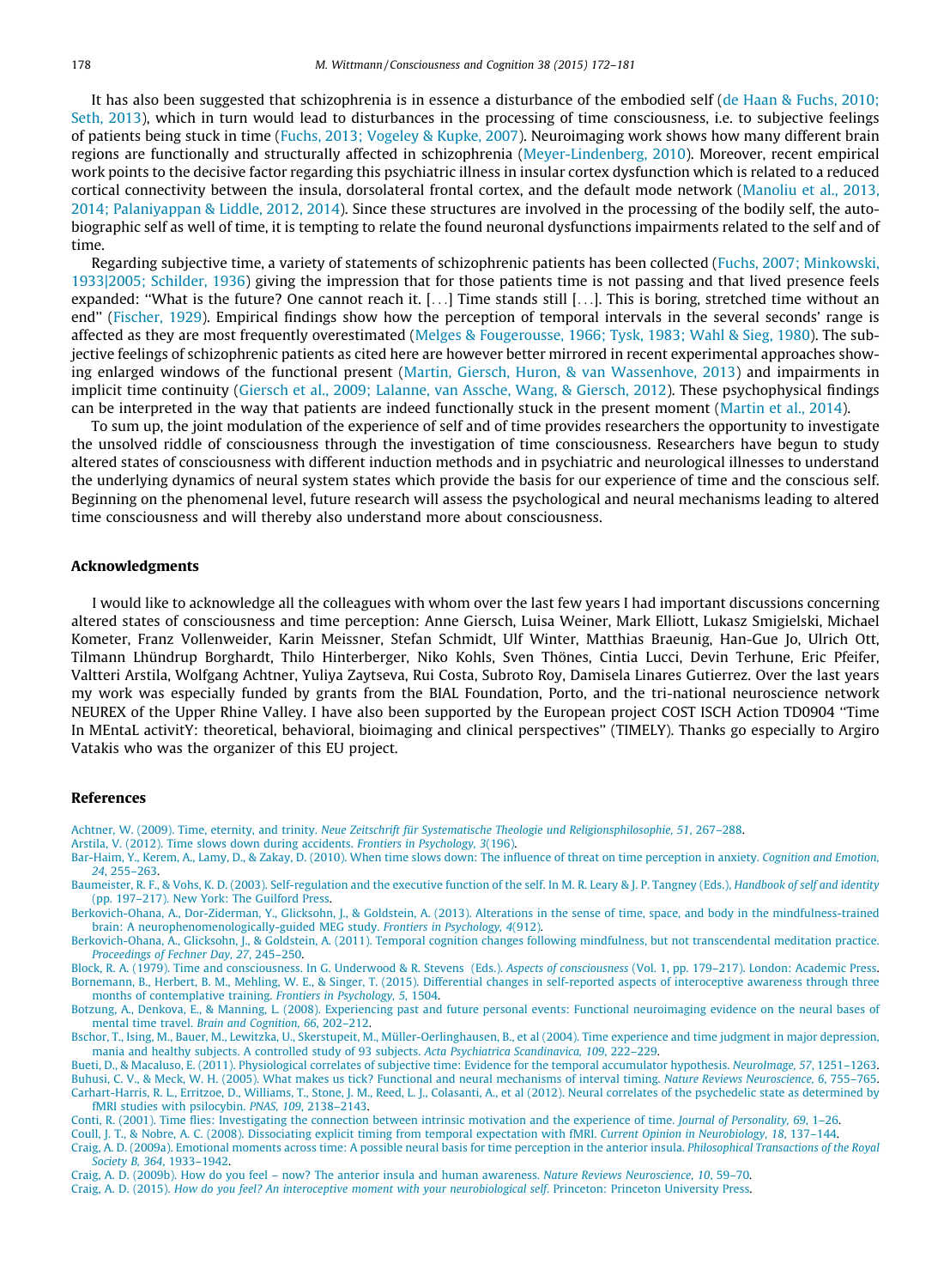<span id="page-7-0"></span>It has also been suggested that schizophrenia is in essence a disturbance of the embodied self [\(de Haan & Fuchs, 2010;](#page-8-0) [Seth, 2013\)](#page-8-0), which in turn would lead to disturbances in the processing of time consciousness, i.e. to subjective feelings of patients being stuck in time ([Fuchs, 2013; Vogeley & Kupke, 2007](#page-8-0)). Neuroimaging work shows how many different brain regions are functionally and structurally affected in schizophrenia [\(Meyer-Lindenberg, 2010](#page-9-0)). Moreover, recent empirical work points to the decisive factor regarding this psychiatric illness in insular cortex dysfunction which is related to a reduced cortical connectivity between the insula, dorsolateral frontal cortex, and the default mode network [\(Manoliu et al., 2013,](#page-8-0) [2014; Palaniyappan & Liddle, 2012, 2014](#page-8-0)). Since these structures are involved in the processing of the bodily self, the autobiographic self as well of time, it is tempting to relate the found neuronal dysfunctions impairments related to the self and of time.

Regarding subjective time, a variety of statements of schizophrenic patients has been collected [\(Fuchs, 2007; Minkowski,](#page-8-0) [1933|2005; Schilder, 1936\)](#page-8-0) giving the impression that for those patients time is not passing and that lived presence feels expanded: "What is the future? One cannot reach it.  $[...]$  Time stands still  $[...]$ . This is boring, stretched time without an end'' [\(Fischer, 1929](#page-8-0)). Empirical findings show how the perception of temporal intervals in the several seconds' range is affected as they are most frequently overestimated ([Melges & Fougerousse, 1966; Tysk, 1983; Wahl & Sieg, 1980](#page-8-0)). The subjective feelings of schizophrenic patients as cited here are however better mirrored in recent experimental approaches showing enlarged windows of the functional present [\(Martin, Giersch, Huron, & van Wassenhove, 2013](#page-8-0)) and impairments in implicit time continuity ([Giersch et al., 2009; Lalanne, van Assche, Wang, & Giersch, 2012\)](#page-8-0). These psychophysical findings can be interpreted in the way that patients are indeed functionally stuck in the present moment [\(Martin et al., 2014\)](#page-8-0).

To sum up, the joint modulation of the experience of self and of time provides researchers the opportunity to investigate the unsolved riddle of consciousness through the investigation of time consciousness. Researchers have begun to study altered states of consciousness with different induction methods and in psychiatric and neurological illnesses to understand the underlying dynamics of neural system states which provide the basis for our experience of time and the conscious self. Beginning on the phenomenal level, future research will assess the psychological and neural mechanisms leading to altered time consciousness and will thereby also understand more about consciousness.

# Acknowledgments

I would like to acknowledge all the colleagues with whom over the last few years I had important discussions concerning altered states of consciousness and time perception: Anne Giersch, Luisa Weiner, Mark Elliott, Lukasz Smigielski, Michael Kometer, Franz Vollenweider, Karin Meissner, Stefan Schmidt, Ulf Winter, Matthias Braeunig, Han-Gue Jo, Ulrich Ott, Tilmann Lhündrup Borghardt, Thilo Hinterberger, Niko Kohls, Sven Thönes, Cintia Lucci, Devin Terhune, Eric Pfeifer, Valtteri Arstila, Wolfgang Achtner, Yuliya Zaytseva, Rui Costa, Subroto Roy, Damisela Linares Gutierrez. Over the last years my work was especially funded by grants from the BIAL Foundation, Porto, and the tri-national neuroscience network NEUREX of the Upper Rhine Valley. I have also been supported by the European project COST ISCH Action TD0904 ''Time In MEntaL activitY: theoretical, behavioral, bioimaging and clinical perspectives'' (TIMELY). Thanks go especially to Argiro Vatakis who was the organizer of this EU project.

# References

- Achtner, W. (2009). Time, eternity, and trinity. [Neue Zeitschrift für Systematische Theologie und Religionsphilosophie, 51](http://refhub.elsevier.com/S1053-8100(15)00145-2/h0005), 267–288.
- [Arstila, V. \(2012\). Time slows down during accidents.](http://refhub.elsevier.com/S1053-8100(15)00145-2/h0010) Frontiers in Psychology, 3(196).

[fMRI studies with psilocybin.](http://refhub.elsevier.com/S1053-8100(15)00145-2/h0065) PNAS, 109, 2138–2143.

- [Bar-Haim, Y., Kerem, A., Lamy, D., & Zakay, D. \(2010\). When time slows down: The influence of threat on time perception in anxiety.](http://refhub.elsevier.com/S1053-8100(15)00145-2/h0015) Cognition and Emotion, 24[, 255–263.](http://refhub.elsevier.com/S1053-8100(15)00145-2/h0015)
- [Baumeister, R. F., & Vohs, K. D. \(2003\). Self-regulation and the executive function of the self. In M. R. Leary & J. P. Tangney \(Eds.\),](http://refhub.elsevier.com/S1053-8100(15)00145-2/h0020) Handbook of self and identity [\(pp. 197–217\). New York: The Guilford Press](http://refhub.elsevier.com/S1053-8100(15)00145-2/h0020).
- [Berkovich-Ohana, A., Dor-Ziderman, Y., Glicksohn, J., & Goldstein, A. \(2013\). Alterations in the sense of time, space, and body in the mindfulness-trained](http://refhub.elsevier.com/S1053-8100(15)00145-2/h0025) [brain: A neurophenomenologically-guided MEG study.](http://refhub.elsevier.com/S1053-8100(15)00145-2/h0025) Frontiers in Psychology, 4(912).
- [Berkovich-Ohana, A., Glicksohn, J., & Goldstein, A. \(2011\). Temporal cognition changes following mindfulness, but not transcendental meditation](http://refhub.elsevier.com/S1053-8100(15)00145-2/h0030) practice. [Proceedings of Fechner Day, 27](http://refhub.elsevier.com/S1053-8100(15)00145-2/h0030), 245–250.

[Block, R. A. \(1979\). Time and consciousness. In G. Underwood & R. Stevens \(Eds.\).](http://refhub.elsevier.com/S1053-8100(15)00145-2/h0035) Aspects of consciousness (Vol. 1, pp. 179–217). London: Academic Press. [Bornemann, B., Herbert, B. M., Mehling, W. E., & Singer, T. \(2015\). Differential changes in self-reported aspects of interoceptive awareness through three](http://refhub.elsevier.com/S1053-8100(15)00145-2/h0040) [months of contemplative training.](http://refhub.elsevier.com/S1053-8100(15)00145-2/h0040) Frontiers in Psychology, 5, 1504.

[Botzung, A., Denkova, E., & Manning, L. \(2008\). Experiencing past and future personal events: Functional neuroimaging evidence on the neural bases of](http://refhub.elsevier.com/S1053-8100(15)00145-2/h0045) mental time travel. [Brain and Cognition, 66](http://refhub.elsevier.com/S1053-8100(15)00145-2/h0045), 202–212.

[Bschor, T., Ising, M., Bauer, M., Lewitzka, U., Skerstupeit, M., Müller-Oerlinghausen, B., et al \(2004\). Time experience and time judgment in major depression,](http://refhub.elsevier.com/S1053-8100(15)00145-2/h0050) [mania and healthy subjects. A controlled study of 93 subjects.](http://refhub.elsevier.com/S1053-8100(15)00145-2/h0050) Acta Psychiatrica Scandinavica, 109, 222–229.

[Bueti, D., & Macaluso, E. \(2011\). Physiological correlates of subjective time: Evidence for the temporal accumulator hypothesis.](http://refhub.elsevier.com/S1053-8100(15)00145-2/h0055) NeuroImage, 57, 1251–1263. [Buhusi, C. V., & Meck, W. H. \(2005\). What makes us tick? Functional and neural mechanisms of interval timing.](http://refhub.elsevier.com/S1053-8100(15)00145-2/h0060) Nature Reviews Neuroscience, 6, 755–765. [Carhart-Harris, R. L., Erritzoe, D., Williams, T., Stone, J. M., Reed, L. J., Colasanti, A., et al \(2012\). Neural correlates of the psychedelic state as determined by](http://refhub.elsevier.com/S1053-8100(15)00145-2/h0065)

[Conti, R. \(2001\). Time flies: Investigating the connection between intrinsic motivation and the experience of time.](http://refhub.elsevier.com/S1053-8100(15)00145-2/h0070) Journal of Personality, 69, 1–26.

[Coull, J. T., & Nobre, A. C. \(2008\). Dissociating explicit timing from temporal expectation with fMRI.](http://refhub.elsevier.com/S1053-8100(15)00145-2/h0075) Current Opinion in Neurobiology, 18, 137–144.

[Craig, A. D. \(2009a\). Emotional moments across time: A possible neural basis for time perception in the anterior insula.](http://refhub.elsevier.com/S1053-8100(15)00145-2/h0080) Philosophical Transactions of the Royal [Society B, 364](http://refhub.elsevier.com/S1053-8100(15)00145-2/h0080), 1933–1942.

[Craig, A. D. \(2009b\). How do you feel – now? The anterior insula and human awareness.](http://refhub.elsevier.com/S1053-8100(15)00145-2/h0085) Nature Reviews Neuroscience, 10, 59–70.

Craig, A. D. (2015). [How do you feel? An interoceptive moment with your neurobiological self](http://refhub.elsevier.com/S1053-8100(15)00145-2/h0090). Princeton: Princeton University Press.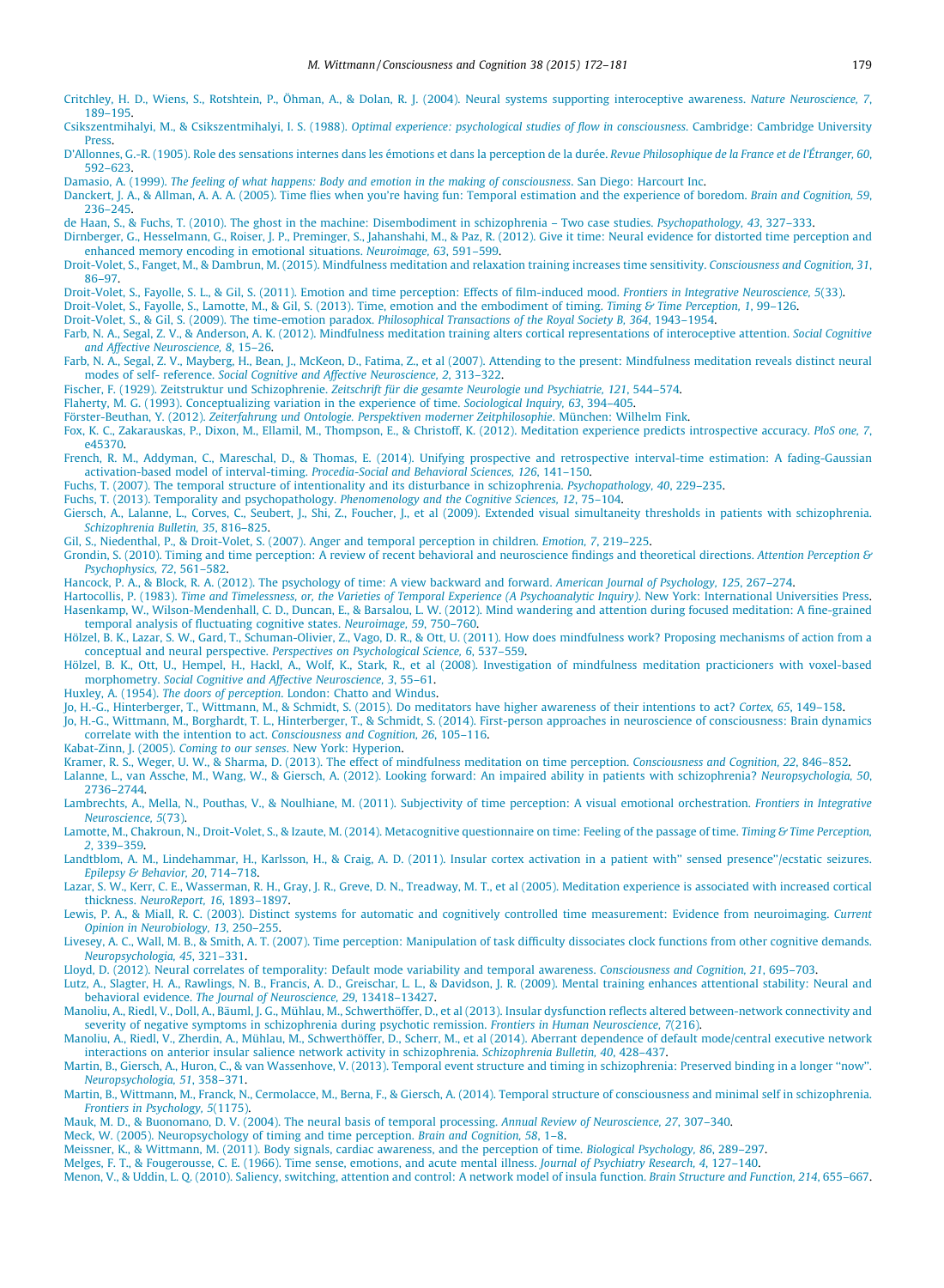- <span id="page-8-0"></span>[Critchley, H. D., Wiens, S., Rotshtein, P., Öhman, A., & Dolan, R. J. \(2004\). Neural systems supporting interoceptive awareness.](http://refhub.elsevier.com/S1053-8100(15)00145-2/h0095) Nature Neuroscience, 7, [189–195.](http://refhub.elsevier.com/S1053-8100(15)00145-2/h0095)
- Csikszentmihalyi, M., & Csikszentmihalyi, I. S. (1988). [Optimal experience: psychological studies of flow in consciousness](http://refhub.elsevier.com/S1053-8100(15)00145-2/h0100). Cambridge: Cambridge University [Press](http://refhub.elsevier.com/S1053-8100(15)00145-2/h0100).
- [D'Allonnes, G.-R. \(1905\). Role des sensations internes dans les émotions et dans la perception de la durée.](http://refhub.elsevier.com/S1053-8100(15)00145-2/h0105) Revue Philosophique de la France et de l'Étranger, 60, [592–623.](http://refhub.elsevier.com/S1053-8100(15)00145-2/h0105)

Damasio, A. (1999). [The feeling of what happens: Body and emotion in the making of consciousness](http://refhub.elsevier.com/S1053-8100(15)00145-2/h0110). San Diego: Harcourt Inc.

- [Danckert, J. A., & Allman, A. A. A. \(2005\). Time flies when you're having fun: Temporal estimation and the experience of boredom.](http://refhub.elsevier.com/S1053-8100(15)00145-2/h0115) Brain and Cognition, 59, [236–245.](http://refhub.elsevier.com/S1053-8100(15)00145-2/h0115)
- [de Haan, S., & Fuchs, T. \(2010\). The ghost in the machine: Disembodiment in schizophrenia Two case studies.](http://refhub.elsevier.com/S1053-8100(15)00145-2/h0120) Psychopathology, 43, 327–333.
- [Dirnberger, G., Hesselmann, G., Roiser, J. P., Preminger, S., Jahanshahi, M., & Paz, R. \(2012\). Give it time: Neural evidence for distorted time perception and](http://refhub.elsevier.com/S1053-8100(15)00145-2/h0125) [enhanced memory encoding in emotional situations.](http://refhub.elsevier.com/S1053-8100(15)00145-2/h0125) Neuroimage, 63, 591–599.
- [Droit-Volet, S., Fanget, M., & Dambrun, M. \(2015\). Mindfulness meditation and relaxation training increases time sensitivity.](http://refhub.elsevier.com/S1053-8100(15)00145-2/h0130) Consciousness and Cognition, 31, [86–97.](http://refhub.elsevier.com/S1053-8100(15)00145-2/h0130)
- [Droit-Volet, S., Fayolle, S. L., & Gil, S. \(2011\). Emotion and time perception: Effects of film-induced mood.](http://refhub.elsevier.com/S1053-8100(15)00145-2/h0135) Frontiers in Integrative Neuroscience, 5(33).
- [Droit-Volet, S., Fayolle, S., Lamotte, M., & Gil, S. \(2013\). Time, emotion and the embodiment of timing.](http://refhub.elsevier.com/S1053-8100(15)00145-2/h0140) Timing & Time Perception, 1, 99-126.
- [Droit-Volet, S., & Gil, S. \(2009\). The time-emotion paradox.](http://refhub.elsevier.com/S1053-8100(15)00145-2/h0145) Philosophical Transactions of the Royal Society B, 364, 1943–1954.
- [Farb, N. A., Segal, Z. V., & Anderson, A. K. \(2012\). Mindfulness meditation training alters cortical representations of interoceptive attention.](http://refhub.elsevier.com/S1053-8100(15)00145-2/h0150) Social Cognitive [and Affective Neuroscience, 8](http://refhub.elsevier.com/S1053-8100(15)00145-2/h0150), 15–26.
- [Farb, N. A., Segal, Z. V., Mayberg, H., Bean, J., McKeon, D., Fatima, Z., et al \(2007\). Attending to the present: Mindfulness meditation reveals distinct neural](http://refhub.elsevier.com/S1053-8100(15)00145-2/h0155) modes of self- reference. [Social Cognitive and Affective Neuroscience, 2](http://refhub.elsevier.com/S1053-8100(15)00145-2/h0155), 313–322.
- Fischer, F. (1929). Zeitstruktur und Schizophrenie. [Zeitschrift für die gesamte Neurologie und Psychiatrie, 121](http://refhub.elsevier.com/S1053-8100(15)00145-2/h0160), 544–574.
- [Flaherty, M. G. \(1993\). Conceptualizing variation in the experience of time.](http://refhub.elsevier.com/S1053-8100(15)00145-2/h0165) Sociological Inquiry, 63, 394–405.
- Förster-Beuthan, Y. (2012). [Zeiterfahrung und Ontologie. Perspektiven moderner Zeitphilosophie](http://refhub.elsevier.com/S1053-8100(15)00145-2/h0170). München: Wilhelm Fink.
- [Fox, K. C., Zakarauskas, P., Dixon, M., Ellamil, M., Thompson, E., & Christoff, K. \(2012\). Meditation experience predicts introspective accuracy.](http://refhub.elsevier.com/S1053-8100(15)00145-2/h0175) PloS one, 7, [e45370](http://refhub.elsevier.com/S1053-8100(15)00145-2/h0175).
- [French, R. M., Addyman, C., Mareschal, D., & Thomas, E. \(2014\). Unifying prospective and retrospective interval-time estimation: A fading-Gaussian](http://refhub.elsevier.com/S1053-8100(15)00145-2/h0180) activation-based model of interval-timing. [Procedia-Social and Behavioral Sciences, 126](http://refhub.elsevier.com/S1053-8100(15)00145-2/h0180), 141–150.
- [Fuchs, T. \(2007\). The temporal structure of intentionality and its disturbance in schizophrenia.](http://refhub.elsevier.com/S1053-8100(15)00145-2/h0185) Psychopathology, 40, 229–235.
- [Fuchs, T. \(2013\). Temporality and psychopathology.](http://refhub.elsevier.com/S1053-8100(15)00145-2/h0190) Phenomenology and the Cognitive Sciences, 12, 75–104.
- [Giersch, A., Lalanne, L., Corves, C., Seubert, J., Shi, Z., Foucher, J., et al \(2009\). Extended visual simultaneity thresholds in patients with schizophrenia.](http://refhub.elsevier.com/S1053-8100(15)00145-2/h0195) [Schizophrenia Bulletin, 35](http://refhub.elsevier.com/S1053-8100(15)00145-2/h0195), 816–825.
- [Gil, S., Niedenthal, P., & Droit-Volet, S. \(2007\). Anger and temporal perception in children.](http://refhub.elsevier.com/S1053-8100(15)00145-2/h0200) Emotion, 7, 219–225.
- [Grondin, S. \(2010\). Timing and time perception: A review of recent behavioral and neuroscience findings and theoretical directions.](http://refhub.elsevier.com/S1053-8100(15)00145-2/h0205) Attention Perception & [Psychophysics, 72](http://refhub.elsevier.com/S1053-8100(15)00145-2/h0205), 561–582.
- [Hancock, P. A., & Block, R. A. \(2012\). The psychology of time: A view backward and forward.](http://refhub.elsevier.com/S1053-8100(15)00145-2/h0210) American Journal of Psychology, 125, 267–274.
- Hartocollis, P. (1983). [Time and Timelessness, or, the Varieties of Temporal Experience \(A Psychoanalytic Inquiry\)](http://refhub.elsevier.com/S1053-8100(15)00145-2/h0215). New York: International Universities Press. [Hasenkamp, W., Wilson-Mendenhall, C. D., Duncan, E., & Barsalou, L. W. \(2012\). Mind wandering and attention during focused meditation: A fine-grained](http://refhub.elsevier.com/S1053-8100(15)00145-2/h0220) [temporal analysis of fluctuating cognitive states.](http://refhub.elsevier.com/S1053-8100(15)00145-2/h0220) Neuroimage, 59, 750–760.
- [Hölzel, B. K., Lazar, S. W., Gard, T., Schuman-Olivier, Z., Vago, D. R., & Ott, U. \(2011\). How does mindfulness work? Proposing mechanisms of action from a](http://refhub.elsevier.com/S1053-8100(15)00145-2/h0225) conceptual and neural perspective. [Perspectives on Psychological Science, 6](http://refhub.elsevier.com/S1053-8100(15)00145-2/h0225), 537–559.
- [Hölzel, B. K., Ott, U., Hempel, H., Hackl, A., Wolf, K., Stark, R., et al \(2008\). Investigation of mindfulness meditation practicioners with voxel-based](http://refhub.elsevier.com/S1053-8100(15)00145-2/h0230) morphometry. [Social Cognitive and Affective Neuroscience, 3](http://refhub.elsevier.com/S1053-8100(15)00145-2/h0230), 55–61.
- Huxley, A. (1954). The doors of perception[. London: Chatto and Windus.](http://refhub.elsevier.com/S1053-8100(15)00145-2/h0235)
- [Jo, H.-G., Hinterberger, T., Wittmann, M., & Schmidt, S. \(2015\). Do meditators have higher awareness of their intentions to act?](http://refhub.elsevier.com/S1053-8100(15)00145-2/h0240) Cortex, 65, 149–158.
- [Jo, H.-G., Wittmann, M., Borghardt, T. L., Hinterberger, T., & Schmidt, S. \(2014\). First-person approaches in neuroscience of consciousness: Brain](http://refhub.elsevier.com/S1053-8100(15)00145-2/h0245) dynamics [correlate with the intention to act.](http://refhub.elsevier.com/S1053-8100(15)00145-2/h0245) Consciousness and Cognition, 26, 105–116.
- Kabat-Zinn, J. (2005). Coming to our senses[. New York: Hyperion](http://refhub.elsevier.com/S1053-8100(15)00145-2/h0250).
- [Kramer, R. S., Weger, U. W., & Sharma, D. \(2013\). The effect of mindfulness meditation on time perception.](http://refhub.elsevier.com/S1053-8100(15)00145-2/h0255) Consciousness and Cognition, 22, 846–852.
- [Lalanne, L., van Assche, M., Wang, W., & Giersch, A. \(2012\). Looking forward: An impaired ability in patients with schizophrenia?](http://refhub.elsevier.com/S1053-8100(15)00145-2/h0260) Neuropsychologia, 50, [2736–2744](http://refhub.elsevier.com/S1053-8100(15)00145-2/h0260).
- [Lambrechts, A., Mella, N., Pouthas, V., & Noulhiane, M. \(2011\). Subjectivity of time perception: A visual emotional orchestration.](http://refhub.elsevier.com/S1053-8100(15)00145-2/h0265) Frontiers in Integrative [Neuroscience, 5](http://refhub.elsevier.com/S1053-8100(15)00145-2/h0265)(73).
- [Lamotte, M., Chakroun, N., Droit-Volet, S., & Izaute, M. \(2014\). Metacognitive questionnaire on time: Feeling of the passage of time.](http://refhub.elsevier.com/S1053-8100(15)00145-2/h0270) Timing & Time Perception, 2[, 339–359.](http://refhub.elsevier.com/S1053-8100(15)00145-2/h0270)
- [Landtblom, A. M., Lindehammar, H., Karlsson, H., & Craig, A. D. \(2011\). Insular cortex activation in a patient with'' sensed presence''/ecstatic seizures.](http://refhub.elsevier.com/S1053-8100(15)00145-2/h0275) [Epilepsy & Behavior, 20](http://refhub.elsevier.com/S1053-8100(15)00145-2/h0275), 714–718.
- [Lazar, S. W., Kerr, C. E., Wasserman, R. H., Gray, J. R., Greve, D. N., Treadway, M. T., et al \(2005\). Meditation experience is associated with increased](http://refhub.elsevier.com/S1053-8100(15)00145-2/h0280) cortical thickness. [NeuroReport, 16](http://refhub.elsevier.com/S1053-8100(15)00145-2/h0280), 1893–1897.
- [Lewis, P. A., & Miall, R. C. \(2003\). Distinct systems for automatic and cognitively controlled time measurement: Evidence from neuroimaging.](http://refhub.elsevier.com/S1053-8100(15)00145-2/h0285) Current [Opinion in Neurobiology, 13](http://refhub.elsevier.com/S1053-8100(15)00145-2/h0285), 250–255.
- [Livesey, A. C., Wall, M. B., & Smith, A. T. \(2007\). Time perception: Manipulation of task difficulty dissociates clock functions from other cognitive demands.](http://refhub.elsevier.com/S1053-8100(15)00145-2/h0290) [Neuropsychologia, 45](http://refhub.elsevier.com/S1053-8100(15)00145-2/h0290), 321–331.
- [Lloyd, D. \(2012\). Neural correlates of temporality: Default mode variability and temporal awareness.](http://refhub.elsevier.com/S1053-8100(15)00145-2/h0295) Consciousness and Cognition, 21, 695–703.
- [Lutz, A., Slagter, H. A., Rawlings, N. B., Francis, A. D., Greischar, L. L., & Davidson, J. R. \(2009\). Mental training enhances attentional stability:](http://refhub.elsevier.com/S1053-8100(15)00145-2/h0300) Neural and behavioral evidence. [The Journal of Neuroscience, 29](http://refhub.elsevier.com/S1053-8100(15)00145-2/h0300), 13418–13427.
- [Manoliu, A., Riedl, V., Doll, A., Bäuml, J. G., Mühlau, M., Schwerthöffer, D., et al \(2013\). Insular dysfunction reflects altered between-network connectivity and](http://refhub.elsevier.com/S1053-8100(15)00145-2/h0305) [severity of negative symptoms in schizophrenia during psychotic remission.](http://refhub.elsevier.com/S1053-8100(15)00145-2/h0305) Frontiers in Human Neuroscience, 7(216).
- [Manoliu, A., Riedl, V., Zherdin, A., Mühlau, M., Schwerthöffer, D., Scherr, M., et al \(2014\). Aberrant dependence of default mode/central executive](http://refhub.elsevier.com/S1053-8100(15)00145-2/h0310) network [interactions on anterior insular salience network activity in schizophrenia.](http://refhub.elsevier.com/S1053-8100(15)00145-2/h0310) Schizophrenia Bulletin, 40, 428–437.
- [Martin, B., Giersch, A., Huron, C., & van Wassenhove, V. \(2013\). Temporal event structure and timing in schizophrenia: Preserved binding in a longer ''now''.](http://refhub.elsevier.com/S1053-8100(15)00145-2/h0315) [Neuropsychologia, 51](http://refhub.elsevier.com/S1053-8100(15)00145-2/h0315), 358–371.
- [Martin, B., Wittmann, M., Franck, N., Cermolacce, M., Berna, F., & Giersch, A. \(2014\). Temporal structure of consciousness and minimal self in schizophrenia.](http://refhub.elsevier.com/S1053-8100(15)00145-2/h0320) [Frontiers in Psychology, 5](http://refhub.elsevier.com/S1053-8100(15)00145-2/h0320)(1175).
- [Mauk, M. D., & Buonomano, D. V. \(2004\). The neural basis of temporal processing.](http://refhub.elsevier.com/S1053-8100(15)00145-2/h0325) Annual Review of Neuroscience, 27, 307–340.
- [Meck, W. \(2005\). Neuropsychology of timing and time perception.](http://refhub.elsevier.com/S1053-8100(15)00145-2/h0330) Brain and Cognition, 58, 1–8.
- [Meissner, K., & Wittmann, M. \(2011\). Body signals, cardiac awareness, and the perception of time.](http://refhub.elsevier.com/S1053-8100(15)00145-2/h0335) Biological Psychology, 86, 289–297.
- [Melges, F. T., & Fougerousse, C. E. \(1966\). Time sense, emotions, and acute mental illness.](http://refhub.elsevier.com/S1053-8100(15)00145-2/h0340) Journal of Psychiatry Research, 4, 127–140.
- [Menon, V., & Uddin, L. Q. \(2010\). Saliency, switching, attention and control: A network model of insula function.](http://refhub.elsevier.com/S1053-8100(15)00145-2/h0345) Brain Structure and Function, 214, 655–667.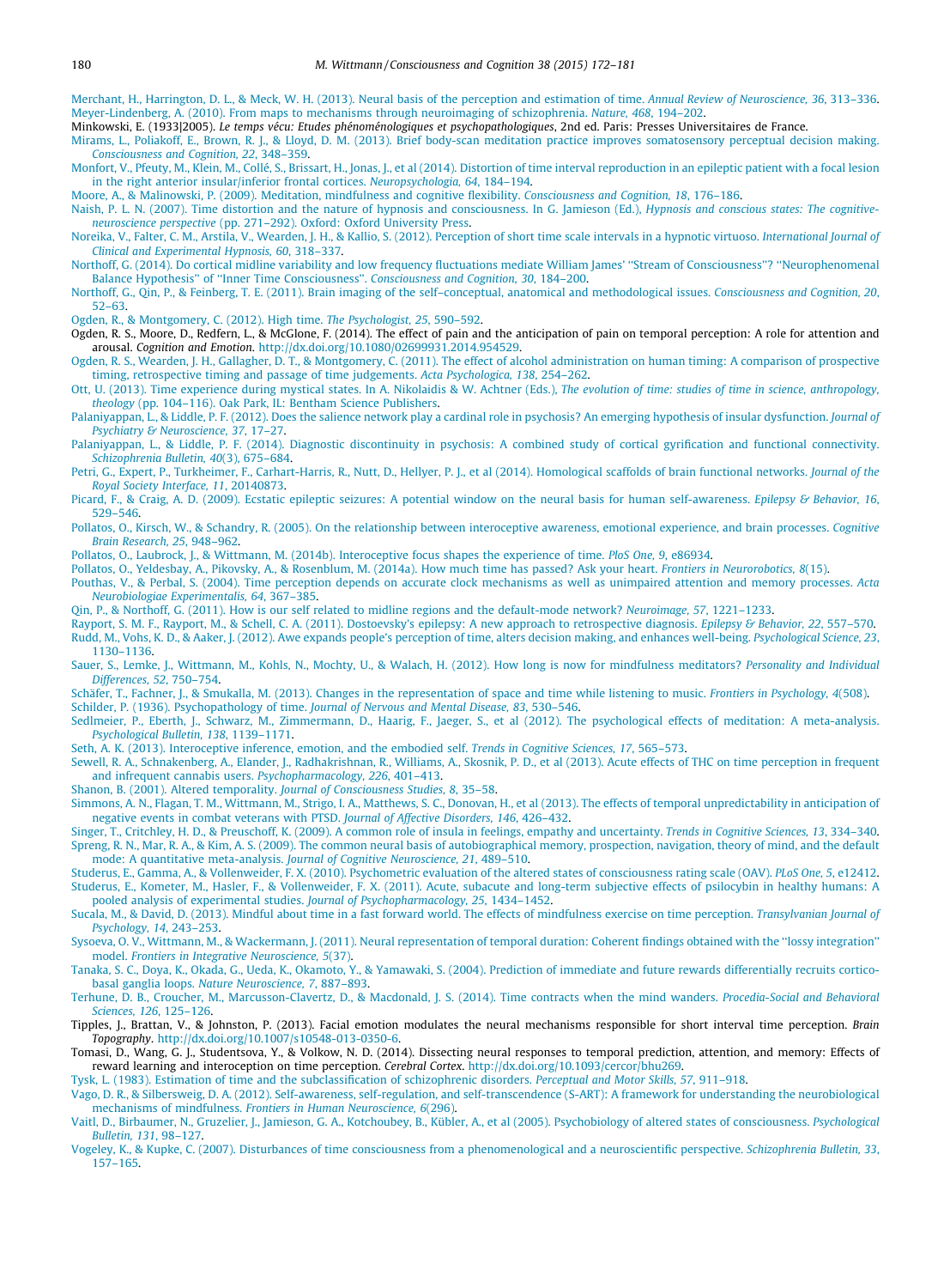<span id="page-9-0"></span>[Merchant, H., Harrington, D. L., & Meck, W. H. \(2013\). Neural basis of the perception and estimation of time.](http://refhub.elsevier.com/S1053-8100(15)00145-2/h0350) Annual Review of Neuroscience, 36, 313–336. [Meyer-Lindenberg, A. \(2010\). From maps to mechanisms through neuroimaging of schizophrenia.](http://refhub.elsevier.com/S1053-8100(15)00145-2/h0355) Nature, 468, 194–202.

Minkowski, E. (1933|2005). Le temps vécu: Etudes phénoménologiques et psychopathologiques, 2nd ed. Paris: Presses Universitaires de France.

[Mirams, L., Poliakoff, E., Brown, R. J., & Lloyd, D. M. \(2013\). Brief body-scan meditation practice improves somatosensory perceptual decision making.](http://refhub.elsevier.com/S1053-8100(15)00145-2/h0365) [Consciousness and Cognition, 22](http://refhub.elsevier.com/S1053-8100(15)00145-2/h0365), 348–359.

[Monfort, V., Pfeuty, M., Klein, M., Collé, S., Brissart, H., Jonas, J., et al \(2014\). Distortion of time interval reproduction in an epileptic patient](http://refhub.elsevier.com/S1053-8100(15)00145-2/h0370) with a focal lesion [in the right anterior insular/inferior frontal cortices.](http://refhub.elsevier.com/S1053-8100(15)00145-2/h0370) Neuropsychologia, 64, 184–194.

[Moore, A., & Malinowski, P. \(2009\). Meditation, mindfulness and cognitive flexibility.](http://refhub.elsevier.com/S1053-8100(15)00145-2/h0375) Consciousness and Cognition, 18, 176–186.

[Naish, P. L. N. \(2007\). Time distortion and the nature of hypnosis and consciousness. In G. Jamieson \(Ed.\),](http://refhub.elsevier.com/S1053-8100(15)00145-2/h0380) Hypnosis and conscious states: The cognitiveneuroscience perspective [\(pp. 271–292\). Oxford: Oxford University Press.](http://refhub.elsevier.com/S1053-8100(15)00145-2/h0380)

[Noreika, V., Falter, C. M., Arstila, V., Wearden, J. H., & Kallio, S. \(2012\). Perception of short time scale intervals in a hypnotic virtuoso.](http://refhub.elsevier.com/S1053-8100(15)00145-2/h0385) International Journal of [Clinical and Experimental Hypnosis, 60](http://refhub.elsevier.com/S1053-8100(15)00145-2/h0385), 318–337.

[Northoff, G. \(2014\). Do cortical midline variability and low frequency fluctuations mediate William James' ''Stream of Consciousness''? ''Neurophenomenal](http://refhub.elsevier.com/S1053-8100(15)00145-2/h0390) [Balance Hypothesis'' of ''Inner Time Consciousness''.](http://refhub.elsevier.com/S1053-8100(15)00145-2/h0390) Consciousness and Cognition, 30, 184–200.

[Northoff, G., Qin, P., & Feinberg, T. E. \(2011\). Brain imaging of the self–conceptual, anatomical and methodological issues.](http://refhub.elsevier.com/S1053-8100(15)00145-2/h0395) Consciousness and Cognition, 20, [52–63](http://refhub.elsevier.com/S1053-8100(15)00145-2/h0395).

[Ogden, R., & Montgomery, C. \(2012\). High time.](http://refhub.elsevier.com/S1053-8100(15)00145-2/h0400) The Psychologist, 25, 590–592.

Ogden, R. S., Moore, D., Redfern, L., & McGlone, F. (2014). The effect of pain and the anticipation of pain on temporal perception: A role for attention and arousal. Cognition and Emotion. [http://dx.doi.org/10.1080/02699931.2014.954529.](http://dx.doi.org/10.1080/02699931.2014.954529)

[Ogden, R. S., Wearden, J. H., Gallagher, D. T., & Montgomery, C. \(2011\). The effect of alcohol administration on human timing: A comparison of prospective](http://refhub.elsevier.com/S1053-8100(15)00145-2/h0410) [timing, retrospective timing and passage of time judgements.](http://refhub.elsevier.com/S1053-8100(15)00145-2/h0410) Acta Psychologica, 138, 254–262.

[Ott, U. \(2013\). Time experience during mystical states. In A. Nikolaidis & W. Achtner \(Eds.\),](http://refhub.elsevier.com/S1053-8100(15)00145-2/h0415) The evolution of time: studies of time in science, anthropology, theology [\(pp. 104–116\). Oak Park, IL: Bentham Science Publishers](http://refhub.elsevier.com/S1053-8100(15)00145-2/h0415).

[Palaniyappan, L., & Liddle, P. F. \(2012\). Does the salience network play a cardinal role in psychosis? An emerging hypothesis of insular dysfunction.](http://refhub.elsevier.com/S1053-8100(15)00145-2/h0420) Journal of

[Psychiatry & Neuroscience, 37](http://refhub.elsevier.com/S1053-8100(15)00145-2/h0420), 17–27. [Palaniyappan, L., & Liddle, P. F. \(2014\). Diagnostic discontinuity in psychosis: A combined study of cortical gyrification and functional connectivity.](http://refhub.elsevier.com/S1053-8100(15)00145-2/h9015) [Schizophrenia Bulletin, 40](http://refhub.elsevier.com/S1053-8100(15)00145-2/h9015)(3), 675–684.

[Petri, G., Expert, P., Turkheimer, F., Carhart-Harris, R., Nutt, D., Hellyer, P. J., et al \(2014\). Homological scaffolds of brain functional networks.](http://refhub.elsevier.com/S1053-8100(15)00145-2/h0425) Journal of the [Royal Society Interface, 11](http://refhub.elsevier.com/S1053-8100(15)00145-2/h0425), 20140873.

[Picard, F., & Craig, A. D. \(2009\). Ecstatic epileptic seizures: A potential window on the neural basis for human self-awareness.](http://refhub.elsevier.com/S1053-8100(15)00145-2/h0430) Epilepsy & Behavior, 16, [529–546.](http://refhub.elsevier.com/S1053-8100(15)00145-2/h0430)

[Pollatos, O., Kirsch, W., & Schandry, R. \(2005\). On the relationship between interoceptive awareness, emotional experience, and brain processes.](http://refhub.elsevier.com/S1053-8100(15)00145-2/h0435) Cognitive [Brain Research, 25](http://refhub.elsevier.com/S1053-8100(15)00145-2/h0435), 948–962.

[Pollatos, O., Laubrock, J., & Wittmann, M. \(2014b\). Interoceptive focus shapes the experience of time.](http://refhub.elsevier.com/S1053-8100(15)00145-2/h0440) PloS One, 9, e86934.

[Pollatos, O., Yeldesbay, A., Pikovsky, A., & Rosenblum, M. \(2014a\). How much time has passed? Ask your heart.](http://refhub.elsevier.com/S1053-8100(15)00145-2/h0445) Frontiers in Neurorobotics, 8(15).

[Pouthas, V., & Perbal, S. \(2004\). Time perception depends on accurate clock mechanisms as well as unimpaired attention and memory processes.](http://refhub.elsevier.com/S1053-8100(15)00145-2/h0450) Acta [Neurobiologiae Experimentalis, 64](http://refhub.elsevier.com/S1053-8100(15)00145-2/h0450), 367–385.

[Qin, P., & Northoff, G. \(2011\). How is our self related to midline regions and the default-mode network?](http://refhub.elsevier.com/S1053-8100(15)00145-2/h0455) Neuroimage, 57, 1221–1233.

[Rayport, S. M. F., Rayport, M., & Schell, C. A. \(2011\). Dostoevsky's epilepsy: A new approach to retrospective diagnosis.](http://refhub.elsevier.com/S1053-8100(15)00145-2/h0460) Epilepsy & Behavior, 22, 557–570. [Rudd, M., Vohs, K. D., & Aaker, J. \(2012\). Awe expands people's perception of time, alters decision making, and enhances well-being.](http://refhub.elsevier.com/S1053-8100(15)00145-2/h0465) Psychological Science, 23, [1130–1136](http://refhub.elsevier.com/S1053-8100(15)00145-2/h0465).

[Sauer, S., Lemke, J., Wittmann, M., Kohls, N., Mochty, U., & Walach, H. \(2012\). How long is now for mindfulness meditators?](http://refhub.elsevier.com/S1053-8100(15)00145-2/h0470) Personality and Individual [Differences, 52](http://refhub.elsevier.com/S1053-8100(15)00145-2/h0470), 750–754.

[Schäfer, T., Fachner, J., & Smukalla, M. \(2013\). Changes in the representation of space and time while listening to music.](http://refhub.elsevier.com/S1053-8100(15)00145-2/h0475) Frontiers in Psychology, 4(508). [Schilder, P. \(1936\). Psychopathology of time.](http://refhub.elsevier.com/S1053-8100(15)00145-2/h0480) Journal of Nervous and Mental Disease, 83, 530–546.

[Sedlmeier, P., Eberth, J., Schwarz, M., Zimmermann, D., Haarig, F., Jaeger, S., et al \(2012\). The psychological effects of meditation: A meta-analysis.](http://refhub.elsevier.com/S1053-8100(15)00145-2/h0485) [Psychological Bulletin, 138](http://refhub.elsevier.com/S1053-8100(15)00145-2/h0485), 1139–1171.

[Seth, A. K. \(2013\). Interoceptive inference, emotion, and the embodied self.](http://refhub.elsevier.com/S1053-8100(15)00145-2/h0490) Trends in Cognitive Sciences, 17, 565–573.

[Sewell, R. A., Schnakenberg, A., Elander, J., Radhakrishnan, R., Williams, A., Skosnik, P. D., et al \(2013\). Acute effects of THC on time perception in](http://refhub.elsevier.com/S1053-8100(15)00145-2/h0495) frequent [and infrequent cannabis users.](http://refhub.elsevier.com/S1053-8100(15)00145-2/h0495) Psychopharmacology, 226, 401–413.

[Shanon, B. \(2001\). Altered temporality.](http://refhub.elsevier.com/S1053-8100(15)00145-2/h0500) Journal of Consciousness Studies, 8, 35–58.

[Simmons, A. N., Flagan, T. M., Wittmann, M., Strigo, I. A., Matthews, S. C., Donovan, H., et al \(2013\). The effects of temporal unpredictability in anticipation of](http://refhub.elsevier.com/S1053-8100(15)00145-2/h0505) [negative events in combat veterans with PTSD.](http://refhub.elsevier.com/S1053-8100(15)00145-2/h0505) Journal of Affective Disorders, 146, 426–432.

[Singer, T., Critchley, H. D., & Preuschoff, K. \(2009\). A common role of insula in feelings, empathy and uncertainty.](http://refhub.elsevier.com/S1053-8100(15)00145-2/h0510) Trends in Cognitive Sciences, 13, 334–340. [Spreng, R. N., Mar, R. A., & Kim, A. S. \(2009\). The common neural basis of autobiographical memory, prospection, navigation, theory of mind, and the default](http://refhub.elsevier.com/S1053-8100(15)00145-2/h0515) [mode: A quantitative meta-analysis.](http://refhub.elsevier.com/S1053-8100(15)00145-2/h0515) Journal of Cognitive Neuroscience, 21, 489–510.

[Studerus, E., Gamma, A., & Vollenweider, F. X. \(2010\). Psychometric evaluation of the altered states of consciousness rating scale \(OAV\).](http://refhub.elsevier.com/S1053-8100(15)00145-2/h0520) PLoS One, 5, e12412. [Studerus, E., Kometer, M., Hasler, F., & Vollenweider, F. X. \(2011\). Acute, subacute and long-term subjective effects of psilocybin in healthy humans: A](http://refhub.elsevier.com/S1053-8100(15)00145-2/h0525) [pooled analysis of experimental studies.](http://refhub.elsevier.com/S1053-8100(15)00145-2/h0525) Journal of Psychopharmacology, 25, 1434–1452.

[Sucala, M., & David, D. \(2013\). Mindful about time in a fast forward world. The effects of mindfulness exercise on time perception.](http://refhub.elsevier.com/S1053-8100(15)00145-2/h0530) Transylvanian Journal of [Psychology, 14](http://refhub.elsevier.com/S1053-8100(15)00145-2/h0530), 243–253.

[Sysoeva, O. V., Wittmann, M., & Wackermann, J. \(2011\). Neural representation of temporal duration: Coherent findings obtained with the ''lossy integration''](http://refhub.elsevier.com/S1053-8100(15)00145-2/h0535) model. [Frontiers in Integrative Neuroscience, 5](http://refhub.elsevier.com/S1053-8100(15)00145-2/h0535)(37).

[Tanaka, S. C., Doya, K., Okada, G., Ueda, K., Okamoto, Y., & Yamawaki, S. \(2004\). Prediction of immediate and future rewards differentially recruits cortico](http://refhub.elsevier.com/S1053-8100(15)00145-2/h0540)basal ganglia loops. [Nature Neuroscience, 7](http://refhub.elsevier.com/S1053-8100(15)00145-2/h0540), 887–893.

[Terhune, D. B., Croucher, M., Marcusson-Clavertz, D., & Macdonald, J. S. \(2014\). Time contracts when the mind wanders.](http://refhub.elsevier.com/S1053-8100(15)00145-2/h0545) Procedia-Social and Behavioral [Sciences, 126](http://refhub.elsevier.com/S1053-8100(15)00145-2/h0545), 125–126.

Tipples, J., Brattan, V., & Johnston, P. (2013). Facial emotion modulates the neural mechanisms responsible for short interval time perception. Brain Topography. [http://dx.doi.org/10.1007/s10548-013-0350-6.](http://dx.doi.org/10.1007/s10548-013-0350-6)

Tomasi, D., Wang, G. J., Studentsova, Y., & Volkow, N. D. (2014). Dissecting neural responses to temporal prediction, attention, and memory: Effects of reward learning and interoception on time perception. Cerebral Cortex. <http://dx.doi.org/10.1093/cercor/bhu269>.

[Tysk, L. \(1983\). Estimation of time and the subclassification of schizophrenic disorders.](http://refhub.elsevier.com/S1053-8100(15)00145-2/h0560) Perceptual and Motor Skills, 57, 911–918.

[Vago, D. R., & Silbersweig, D. A. \(2012\). Self-awareness, self-regulation, and self-transcendence \(S-ART\): A framework for understanding the neurobiological](http://refhub.elsevier.com/S1053-8100(15)00145-2/h0565) mechanisms of mindfulness. [Frontiers in Human Neuroscience, 6](http://refhub.elsevier.com/S1053-8100(15)00145-2/h0565)(296).

[Vaitl, D., Birbaumer, N., Gruzelier, J., Jamieson, G. A., Kotchoubey, B., Kübler, A., et al \(2005\). Psychobiology of altered states of consciousness.](http://refhub.elsevier.com/S1053-8100(15)00145-2/h9000) Psychological [Bulletin, 131](http://refhub.elsevier.com/S1053-8100(15)00145-2/h9000), 98–127.

[Vogeley, K., & Kupke, C. \(2007\). Disturbances of time consciousness from a phenomenological and a neuroscientific perspective.](http://refhub.elsevier.com/S1053-8100(15)00145-2/h0575) Schizophrenia Bulletin, 33, [157–165.](http://refhub.elsevier.com/S1053-8100(15)00145-2/h0575)